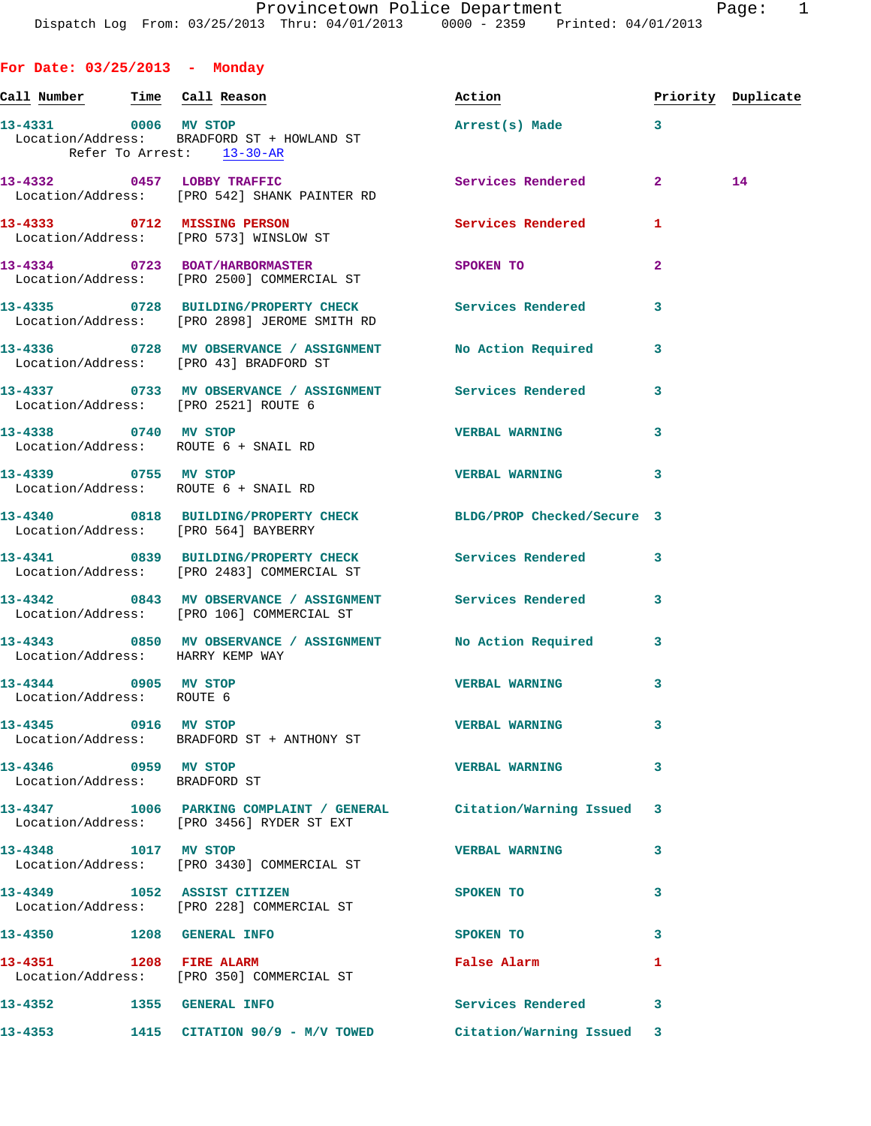**For Date: 03/25/2013 - Monday Call Number Time Call Reason Action Priority Duplicate 13-4331 0006 MV STOP Arrest(s) Made 3**  Location/Address: BRADFORD ST + HOWLAND ST Refer To Arrest: 13-30-AR **13-4332 0457 LOBBY TRAFFIC Services Rendered 2 14**  Location/Address: [PRO 542] SHANK PAINTER RD **13-4333 0712 MISSING PERSON Services Rendered 1**  Location/Address: [PRO 573] WINSLOW ST **13-4334 0723 BOAT/HARBORMASTER SPOKEN TO 2**  Location/Address: [PRO 2500] COMMERCIAL ST **13-4335 0728 BUILDING/PROPERTY CHECK Services Rendered 3**  Location/Address: [PRO 2898] JEROME SMITH RD **13-4336 0728 MV OBSERVANCE / ASSIGNMENT No Action Required 3**  Location/Address: [PRO 43] BRADFORD ST **13-4337 0733 MV OBSERVANCE / ASSIGNMENT Services Rendered 3**  Location/Address: [PRO 2521] ROUTE 6 **13-4338 0740 MV STOP VERBAL WARNING 3**  Location/Address: ROUTE 6 + SNAIL RD **13-4339 0755 MV STOP VERBAL WARNING 3**  Location/Address: ROUTE 6 + SNAIL RD **13-4340 0818 BUILDING/PROPERTY CHECK BLDG/PROP Checked/Secure 3**  Location/Address: [PRO 564] BAYBERRY **13-4341 0839 BUILDING/PROPERTY CHECK Services Rendered 3**  Location/Address: [PRO 2483] COMMERCIAL ST **13-4342 0843 MV OBSERVANCE / ASSIGNMENT Services Rendered 3**  Location/Address: [PRO 106] COMMERCIAL ST **13-4343 0850 MV OBSERVANCE / ASSIGNMENT No Action Required 3**  Location/Address: HARRY KEMP WAY **13-4344 0905 MV STOP VERBAL WARNING 3**  Location/Address: ROUTE 6 **13-4345 0916 MV STOP VERBAL WARNING 3**  Location/Address: BRADFORD ST + ANTHONY ST **13-4346 0959 MV STOP VERBAL WARNING 3**  Location/Address: BRADFORD ST **13-4347 1006 PARKING COMPLAINT / GENERAL Citation/Warning Issued 3**  Location/Address: [PRO 3456] RYDER ST EXT **13-4348 1017 MV STOP VERBAL WARNING 3**  Location/Address: [PRO 3430] COMMERCIAL ST **13-4349 1052 ASSIST CITIZEN SPOKEN TO 3**  Location/Address: [PRO 228] COMMERCIAL ST **13-4350 1208 GENERAL INFO SPOKEN TO 3** 

**13-4351 1208 FIRE ALARM False Alarm 1**  Location/Address: [PRO 350] COMMERCIAL ST **13-4352 1355 GENERAL INFO Services Rendered 3 13-4353 1415 CITATION 90/9 - M/V TOWED Citation/Warning Issued 3**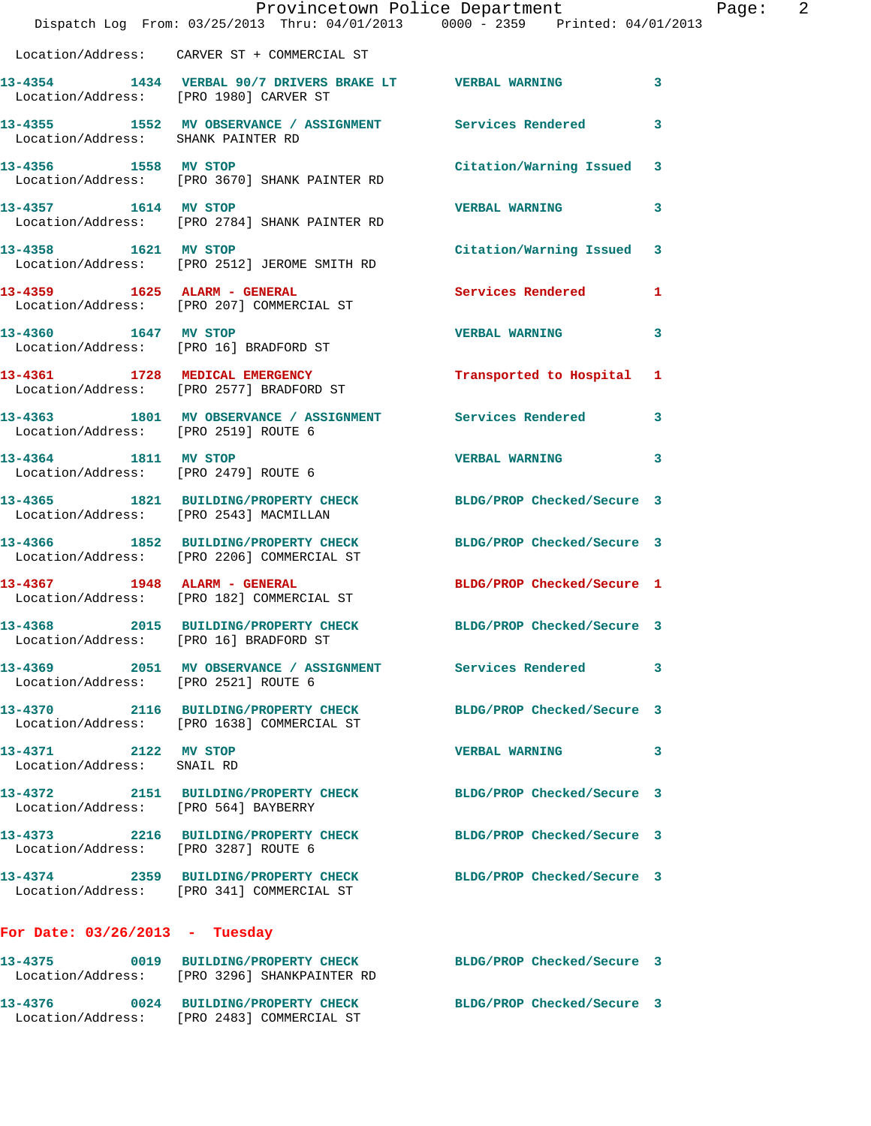|                                                    | Provincetown Police Department<br>Dispatch Log From: 03/25/2013 Thru: 04/01/2013 0000 - 2359 Printed: 04/01/2013 |                            |   |
|----------------------------------------------------|------------------------------------------------------------------------------------------------------------------|----------------------------|---|
|                                                    | Location/Address: CARVER ST + COMMERCIAL ST                                                                      |                            |   |
|                                                    | 13-4354 1434 VERBAL 90/7 DRIVERS BRAKE LT VERBAL WARNING<br>Location/Address: [PRO 1980] CARVER ST               |                            | 3 |
|                                                    | 13-4355 1552 MV OBSERVANCE / ASSIGNMENT Services Rendered<br>Location/Address: SHANK PAINTER RD                  |                            | 3 |
|                                                    | 13-4356 1558 MV STOP<br>Location/Address: [PRO 3670] SHANK PAINTER RD                                            | Citation/Warning Issued    | 3 |
|                                                    | 13-4357 1614 MV STOP<br>Location/Address: [PRO 2784] SHANK PAINTER RD                                            | <b>VERBAL WARNING</b>      | 3 |
| 13-4358 1621 MV STOP                               | Location/Address: [PRO 2512] JEROME SMITH RD                                                                     | Citation/Warning Issued    | 3 |
|                                                    | 13-4359 1625 ALARM - GENERAL<br>Location/Address: [PRO 207] COMMERCIAL ST                                        | Services Rendered          | 1 |
| 13-4360 1647 MV STOP                               | Location/Address: [PRO 16] BRADFORD ST                                                                           | <b>VERBAL WARNING</b>      | 3 |
|                                                    | 13-4361 1728 MEDICAL EMERGENCY<br>Location/Address: [PRO 2577] BRADFORD ST                                       | Transported to Hospital    | 1 |
| Location/Address: [PRO 2519] ROUTE 6               | 13-4363 1801 MV OBSERVANCE / ASSIGNMENT Services Rendered                                                        |                            | 3 |
| 13-4364 1811 MV STOP                               | Location/Address: [PRO 2479] ROUTE 6                                                                             | <b>VERBAL WARNING</b>      | 3 |
|                                                    | 13-4365 1821 BUILDING/PROPERTY CHECK BLDG/PROP Checked/Secure 3<br>Location/Address: [PRO 2543] MACMILLAN        |                            |   |
|                                                    | 13-4366 1852 BUILDING/PROPERTY CHECK<br>Location/Address: [PRO 2206] COMMERCIAL ST                               | BLDG/PROP Checked/Secure 3 |   |
|                                                    | 13-4367 1948 ALARM - GENERAL<br>Location/Address: [PRO 182] COMMERCIAL ST                                        | BLDG/PROP Checked/Secure 1 |   |
|                                                    | 13-4368 2015 BUILDING/PROPERTY CHECK<br>Location/Address: [PRO 16] BRADFORD ST                                   | BLDG/PROP Checked/Secure 3 |   |
|                                                    | 13-4369 2051 MV OBSERVANCE / ASSIGNMENT Services Rendered<br>Location/Address: [PRO 2521] ROUTE 6                |                            | 3 |
|                                                    | 13-4370 2116 BUILDING/PROPERTY CHECK<br>Location/Address: [PRO 1638] COMMERCIAL ST                               | BLDG/PROP Checked/Secure 3 |   |
| 13-4371 2122 MV STOP<br>Location/Address: SNAIL RD |                                                                                                                  | <b>VERBAL WARNING</b>      | 3 |
|                                                    | 13-4372 2151 BUILDING/PROPERTY CHECK<br>Location/Address: [PRO 564] BAYBERRY                                     | BLDG/PROP Checked/Secure 3 |   |
|                                                    | 13-4373 2216 BUILDING/PROPERTY CHECK<br>Location/Address: [PRO 3287] ROUTE 6                                     | BLDG/PROP Checked/Secure 3 |   |
|                                                    | 13-4374 2359 BUILDING/PROPERTY CHECK BLDG/PROP Checked/Secure 3<br>Location/Address: [PRO 341] COMMERCIAL ST     |                            |   |
| For Date: $03/26/2013$ - Tuesday                   |                                                                                                                  |                            |   |
|                                                    | 13-4375 0019 BUILDING/PROPERTY CHECK BLDG/PROP Checked/Secure 3<br>Location/Address: [PRO 3296] SHANKPAINTER RD  |                            |   |
|                                                    | 13-4376 0024 BUILDING/PROPERTY CHECK<br>Location/Address: [PRO 2483] COMMERCIAL ST                               | BLDG/PROP Checked/Secure 3 |   |

Page: 2<br><sup>13</sup>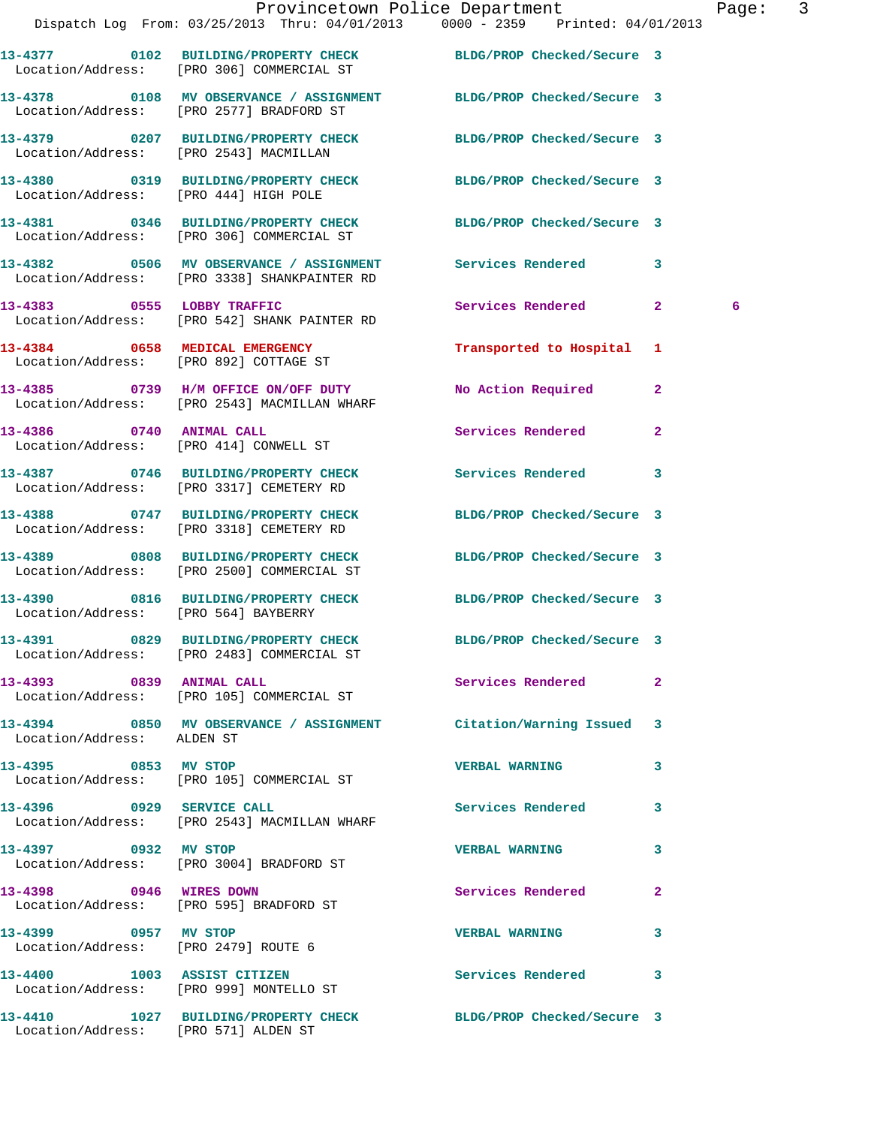|                                                              | Dispatch Log From: 03/25/2013 Thru: 04/01/2013 0000 - 2359 Printed: 04/01/2013                                 | Provincetown Police Department    | Page: 3 |
|--------------------------------------------------------------|----------------------------------------------------------------------------------------------------------------|-----------------------------------|---------|
|                                                              |                                                                                                                |                                   |         |
|                                                              | 13-4377 0102 BUILDING/PROPERTY CHECK BLDG/PROP Checked/Secure 3<br>Location/Address: [PRO 306] COMMERCIAL ST   |                                   |         |
|                                                              | 13-4378 0108 MV OBSERVANCE / ASSIGNMENT BLDG/PROP Checked/Secure 3<br>Location/Address: [PRO 2577] BRADFORD ST |                                   |         |
|                                                              | 13-4379 0207 BUILDING/PROPERTY CHECK BLDG/PROP Checked/Secure 3<br>Location/Address: [PRO 2543] MACMILLAN      |                                   |         |
| Location/Address: [PRO 444] HIGH POLE                        | 13-4380 0319 BUILDING/PROPERTY CHECK BLDG/PROP Checked/Secure 3                                                |                                   |         |
|                                                              | 13-4381 0346 BUILDING/PROPERTY CHECK BLDG/PROP Checked/Secure 3<br>Location/Address: [PRO 306] COMMERCIAL ST   |                                   |         |
|                                                              | 13-4382 0506 MV OBSERVANCE / ASSIGNMENT Services Rendered 3<br>Location/Address: [PRO 3338] SHANKPAINTER RD    |                                   |         |
|                                                              | 13-4383 0555 LOBBY TRAFFIC<br>Location/Address: [PRO 542] SHANK PAINTER RD                                     | Services Rendered 2               | 6       |
|                                                              | 13-4384 0658 MEDICAL EMERGENCY<br>Location/Address: [PRO 892] COTTAGE ST                                       | Transported to Hospital 1         |         |
|                                                              | 13-4385 0739 H/M OFFICE ON/OFF DUTY<br>Location/Address: [PRO 2543] MACMILLAN WHARF                            | No Action Required 2              |         |
| Location/Address: [PRO 414] CONWELL ST                       | 13-4386 0740 ANIMAL CALL                                                                                       | Services Rendered<br>$\mathbf{2}$ |         |
|                                                              | 13-4387 0746 BUILDING/PROPERTY CHECK Services Rendered 3<br>Location/Address: [PRO 3317] CEMETERY RD           |                                   |         |
|                                                              | 13-4388 0747 BUILDING/PROPERTY CHECK<br>Location/Address: [PRO 3318] CEMETERY RD                               | BLDG/PROP Checked/Secure 3        |         |
|                                                              | 13-4389 0808 BUILDING/PROPERTY CHECK BLDG/PROP Checked/Secure 3<br>Location/Address: [PRO 2500] COMMERCIAL ST  |                                   |         |
| Location/Address: [PRO 564] BAYBERRY                         | 13-4390 0816 BUILDING/PROPERTY CHECK BLDG/PROP Checked/Secure 3                                                |                                   |         |
|                                                              | 13-4391 0829 BUILDING/PROPERTY CHECK<br>Location/Address: [PRO 2483] COMMERCIAL ST                             | BLDG/PROP Checked/Secure 3        |         |
|                                                              | 13-4393 0839 ANIMAL CALL<br>Location/Address: [PRO 105] COMMERCIAL ST                                          | Services Rendered<br>$\mathbf{2}$ |         |
| Location/Address: ALDEN ST                                   | 13-4394 0850 MV OBSERVANCE / ASSIGNMENT Citation/Warning Issued 3                                              |                                   |         |
|                                                              | 13-4395 0853 MV STOP<br>Location/Address: [PRO 105] COMMERCIAL ST                                              | <b>VERBAL WARNING</b><br>3        |         |
| 13-4396 0929 SERVICE CALL                                    | Location/Address: [PRO 2543] MACMILLAN WHARF                                                                   | Services Rendered 3               |         |
|                                                              | 13-4397 0932 MV STOP<br>Location/Address: [PRO 3004] BRADFORD ST                                               | <b>VERBAL WARNING</b><br>3        |         |
| 13-4398 0946 WIRES DOWN                                      | Location/Address: [PRO 595] BRADFORD ST                                                                        | Services Rendered<br>$\mathbf{2}$ |         |
| 13-4399 0957 MV STOP<br>Location/Address: [PRO 2479] ROUTE 6 |                                                                                                                | <b>VERBAL WARNING</b><br>3        |         |
|                                                              | 13-4400 1003 ASSIST CITIZEN<br>Location/Address: [PRO 999] MONTELLO ST                                         | Services Rendered 3               |         |
| Location/Address: [PRO 571] ALDEN ST                         | 13-4410 1027 BUILDING/PROPERTY CHECK BLDG/PROP Checked/Secure 3                                                |                                   |         |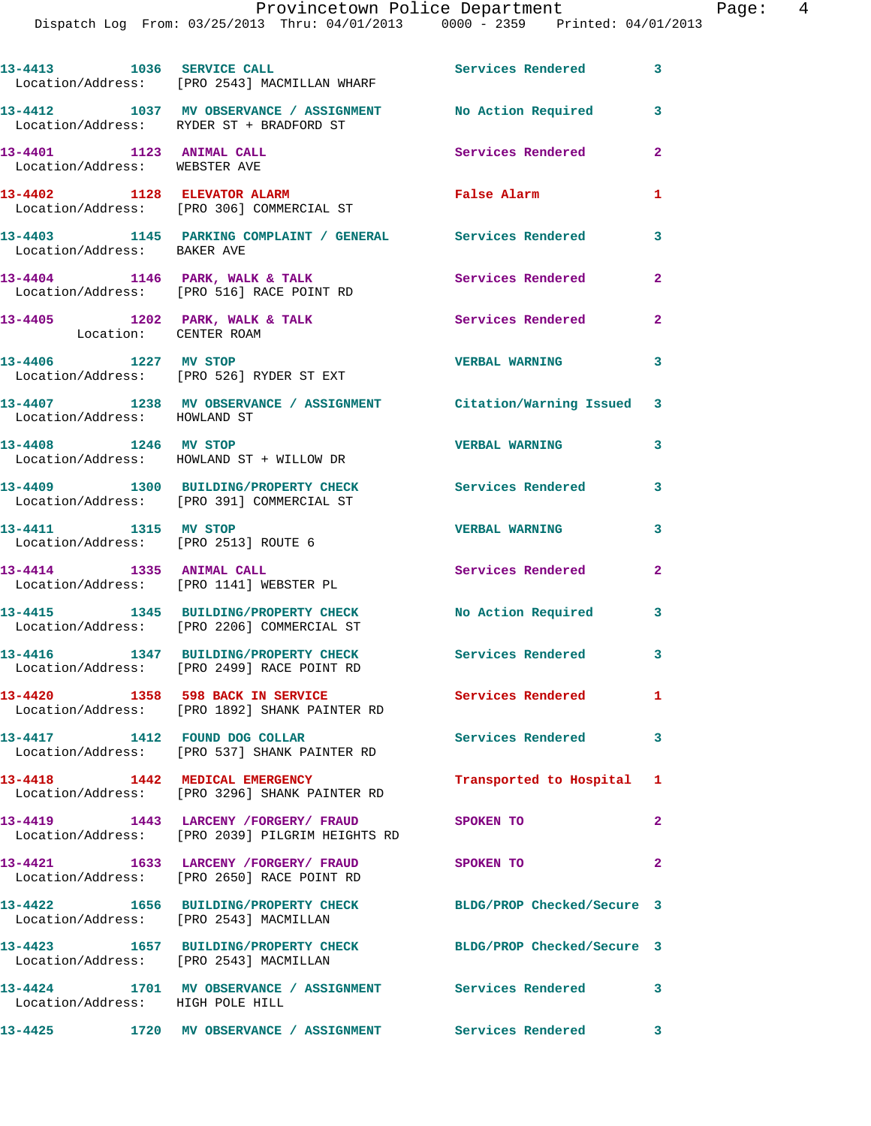|                                                              | 13-4413 1036 SERVICE CALL<br>Location/Address: [PRO 2543] MACMILLAN WHARF                      | <b>Services Rendered</b>   | 3              |
|--------------------------------------------------------------|------------------------------------------------------------------------------------------------|----------------------------|----------------|
|                                                              | 13-4412 1037 MV OBSERVANCE / ASSIGNMENT<br>Location/Address: RYDER ST + BRADFORD ST            | No Action Required 3       |                |
| 13-4401 1123 ANIMAL CALL<br>Location/Address: WEBSTER AVE    |                                                                                                | Services Rendered          | $\mathbf{2}$   |
|                                                              | 13-4402 1128 ELEVATOR ALARM<br>Location/Address: [PRO 306] COMMERCIAL ST                       | False Alarm                | 1              |
|                                                              |                                                                                                |                            | 3              |
|                                                              | $13-4404$ 1146 PARK, WALK & TALK<br>Location/Address: [PRO 516] RACE POINT RD                  | Services Rendered          | $\mathbf{2}$   |
| Location: CENTER ROAM                                        | 13-4405 1202 PARK, WALK & TALK                                                                 | Services Rendered          | $\overline{a}$ |
| 13-4406 1227 MV STOP                                         | Location/Address: [PRO 526] RYDER ST EXT                                                       | <b>VERBAL WARNING</b>      | 3              |
| Location/Address: HOWLAND ST                                 | 13-4407 1238 MV OBSERVANCE / ASSIGNMENT Citation/Warning Issued 3                              |                            |                |
| 13-4408 1246 MV STOP                                         | Location/Address: HOWLAND ST + WILLOW DR                                                       | <b>VERBAL WARNING</b>      | 3              |
|                                                              | 13-4409 1300 BUILDING/PROPERTY CHECK<br>Location/Address: [PRO 391] COMMERCIAL ST              | Services Rendered 3        |                |
| 13-4411 1315 MV STOP<br>Location/Address: [PRO 2513] ROUTE 6 |                                                                                                | <b>VERBAL WARNING</b>      | 3              |
| 13-4414 1335 ANIMAL CALL                                     | Location/Address: [PRO 1141] WEBSTER PL                                                        | Services Rendered          | $\mathbf{2}$   |
|                                                              | 13-4415 1345 BUILDING/PROPERTY CHECK<br>Location/Address: [PRO 2206] COMMERCIAL ST             | No Action Required         | 3              |
|                                                              | 13-4416 1347 BUILDING/PROPERTY CHECK<br>Location/Address: [PRO 2499] RACE POINT RD             | Services Rendered          | $\mathbf{3}$   |
|                                                              | 13-4420 1358 598 BACK IN SERVICE<br>Location/Address: [PRO 1892] SHANK PAINTER RD              | Services Rendered          | 1.             |
| 13-4417 1412 FOUND DOG COLLAR                                | Location/Address: [PRO 537] SHANK PAINTER RD                                                   | <b>Services Rendered</b>   | $\mathbf{3}$   |
|                                                              | 13-4418 1442 MEDICAL EMERGENCY<br>Location/Address: [PRO 3296] SHANK PAINTER RD                | Transported to Hospital 1  |                |
|                                                              | 13-4419 1443 LARCENY / FORGERY / FRAUD<br>Location/Address: [PRO 2039] PILGRIM HEIGHTS RD      | <b>SPOKEN TO</b>           | $\mathbf{2}$   |
|                                                              | 13-4421 1633 LARCENY / FORGERY / FRAUD SPOKEN TO<br>Location/Address: [PRO 2650] RACE POINT RD |                            | $\mathbf{2}$   |
| Location/Address: [PRO 2543] MACMILLAN                       | 13-4422 1656 BUILDING/PROPERTY CHECK BLDG/PROP Checked/Secure 3                                |                            |                |
| Location/Address: [PRO 2543] MACMILLAN                       | 13-4423 1657 BUILDING/PROPERTY CHECK                                                           | BLDG/PROP Checked/Secure 3 |                |
| Location/Address: HIGH POLE HILL                             | 13-4424 1701 MV OBSERVANCE / ASSIGNMENT Services Rendered 3                                    |                            |                |
|                                                              |                                                                                                |                            |                |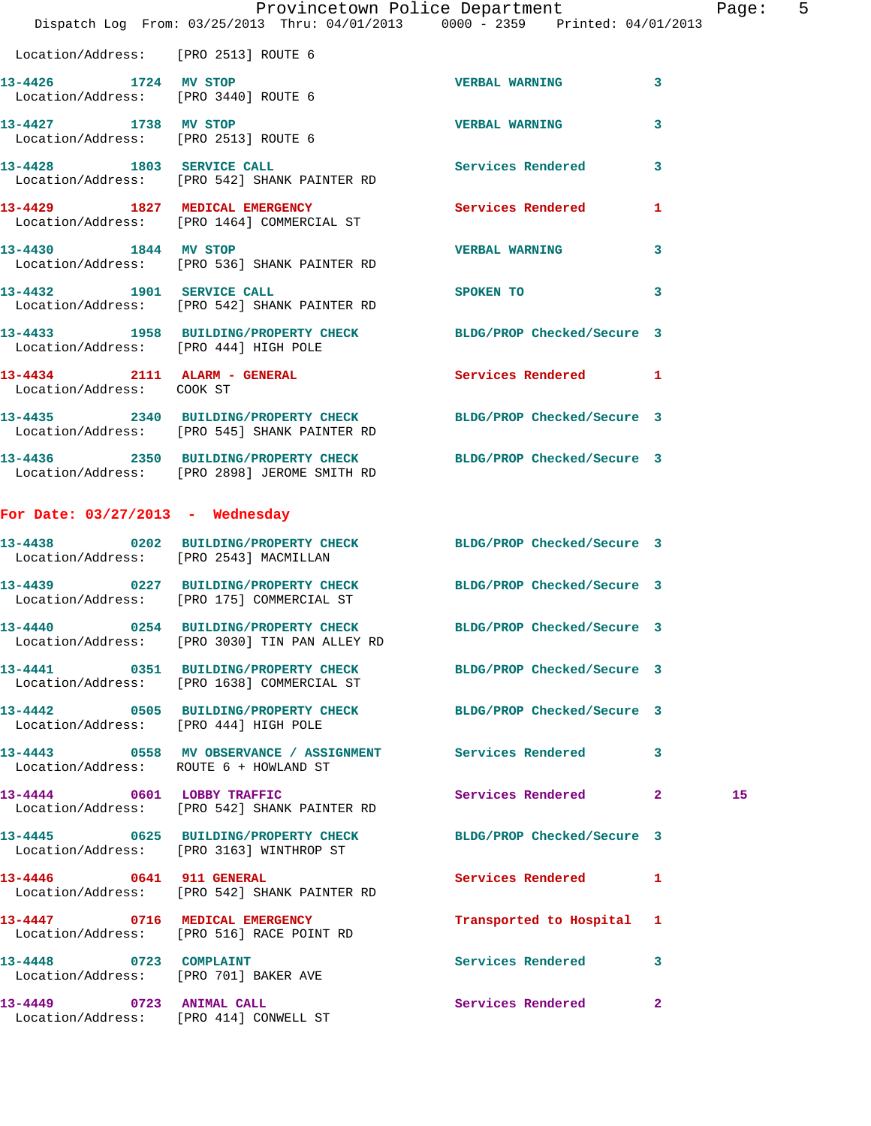|                                                                 | Provincetown Police Department<br>Dispatch Log From: 03/25/2013 Thru: 04/01/2013 0000 - 2359 Printed: 04/01/2013 |                            |              | Page: 5 |  |
|-----------------------------------------------------------------|------------------------------------------------------------------------------------------------------------------|----------------------------|--------------|---------|--|
| Location/Address: [PRO 2513] ROUTE 6                            |                                                                                                                  |                            |              |         |  |
| 13-4426 1724 MV STOP<br>Location/Address: [PRO 3440] ROUTE 6    |                                                                                                                  | <b>VERBAL WARNING</b>      | 3            |         |  |
| 13-4427 1738 MV STOP<br>Location/Address: [PRO 2513] ROUTE 6    |                                                                                                                  | <b>VERBAL WARNING</b>      | $\mathbf{3}$ |         |  |
|                                                                 | 13-4428 1803 SERVICE CALL<br>Location/Address: [PRO 542] SHANK PAINTER RD                                        | Services Rendered          | $\mathbf{3}$ |         |  |
|                                                                 | 13-4429 1827 MEDICAL EMERGENCY<br>Location/Address: [PRO 1464] COMMERCIAL ST                                     | Services Rendered          | $\mathbf{1}$ |         |  |
|                                                                 | 13-4430 1844 MV STOP<br>Location/Address: [PRO 536] SHANK PAINTER RD                                             | <b>VERBAL WARNING</b>      | 3            |         |  |
|                                                                 | 13-4432 1901 SERVICE CALL<br>Location/Address: [PRO 542] SHANK PAINTER RD                                        | SPOKEN TO                  | 3            |         |  |
| Location/Address: [PRO 444] HIGH POLE                           | 13-4433 1958 BUILDING/PROPERTY CHECK BLDG/PROP Checked/Secure 3                                                  |                            |              |         |  |
| 13-4434 2111 ALARM - GENERAL<br>Location/Address: COOK ST       |                                                                                                                  | Services Rendered 1        |              |         |  |
|                                                                 | 13-4435 2340 BUILDING/PROPERTY CHECK BLDG/PROP Checked/Secure 3<br>Location/Address: [PRO 545] SHANK PAINTER RD  |                            |              |         |  |
|                                                                 | 13-4436 2350 BUILDING/PROPERTY CHECK BLDG/PROP Checked/Secure 3<br>Location/Address: [PRO 2898] JEROME SMITH RD  |                            |              |         |  |
| For Date: $03/27/2013$ - Wednesday                              |                                                                                                                  |                            |              |         |  |
| Location/Address: [PRO 2543] MACMILLAN                          | 13-4438 0202 BUILDING/PROPERTY CHECK BLDG/PROP Checked/Secure 3                                                  |                            |              |         |  |
|                                                                 | 13-4439 0227 BUILDING/PROPERTY CHECK BLDG/PROP Checked/Secure 3<br>Location/Address: [PRO 175] COMMERCIAL ST     |                            |              |         |  |
| 13-4440                                                         | 0254 BUILDING/PROPERTY CHECK<br>Location/Address: [PRO 3030] TIN PAN ALLEY RD                                    | BLDG/PROP Checked/Secure 3 |              |         |  |
|                                                                 | 13-4441 0351 BUILDING/PROPERTY CHECK BLDG/PROP Checked/Secure 3<br>Location/Address: [PRO 1638] COMMERCIAL ST    |                            |              |         |  |
| Location/Address: [PRO 444] HIGH POLE                           | 13-4442 0505 BUILDING/PROPERTY CHECK BLDG/PROP Checked/Secure 3                                                  |                            |              |         |  |
| Location/Address: ROUTE 6 + HOWLAND ST                          |                                                                                                                  |                            |              |         |  |
|                                                                 | 13-4444 0601 LOBBY TRAFFIC<br>Location/Address: [PRO 542] SHANK PAINTER RD                                       | Services Rendered 2        |              | 15      |  |
|                                                                 | 13-4445 0625 BUILDING/PROPERTY CHECK<br>Location/Address: [PRO 3163] WINTHROP ST                                 | BLDG/PROP Checked/Secure 3 |              |         |  |
|                                                                 | 13-4446 0641 911 GENERAL<br>Location/Address: [PRO 542] SHANK PAINTER RD                                         | Services Rendered 1        |              |         |  |
|                                                                 | 13-4447 0716 MEDICAL EMERGENCY<br>Location/Address: [PRO 516] RACE POINT RD                                      | Transported to Hospital 1  |              |         |  |
| 13-4448 0723 COMPLAINT<br>Location/Address: [PRO 701] BAKER AVE |                                                                                                                  | Services Rendered 3        |              |         |  |
| 13-4449 0723 ANIMAL CALL                                        |                                                                                                                  | Services Rendered 2        |              |         |  |

Location/Address: [PRO 414] CONWELL ST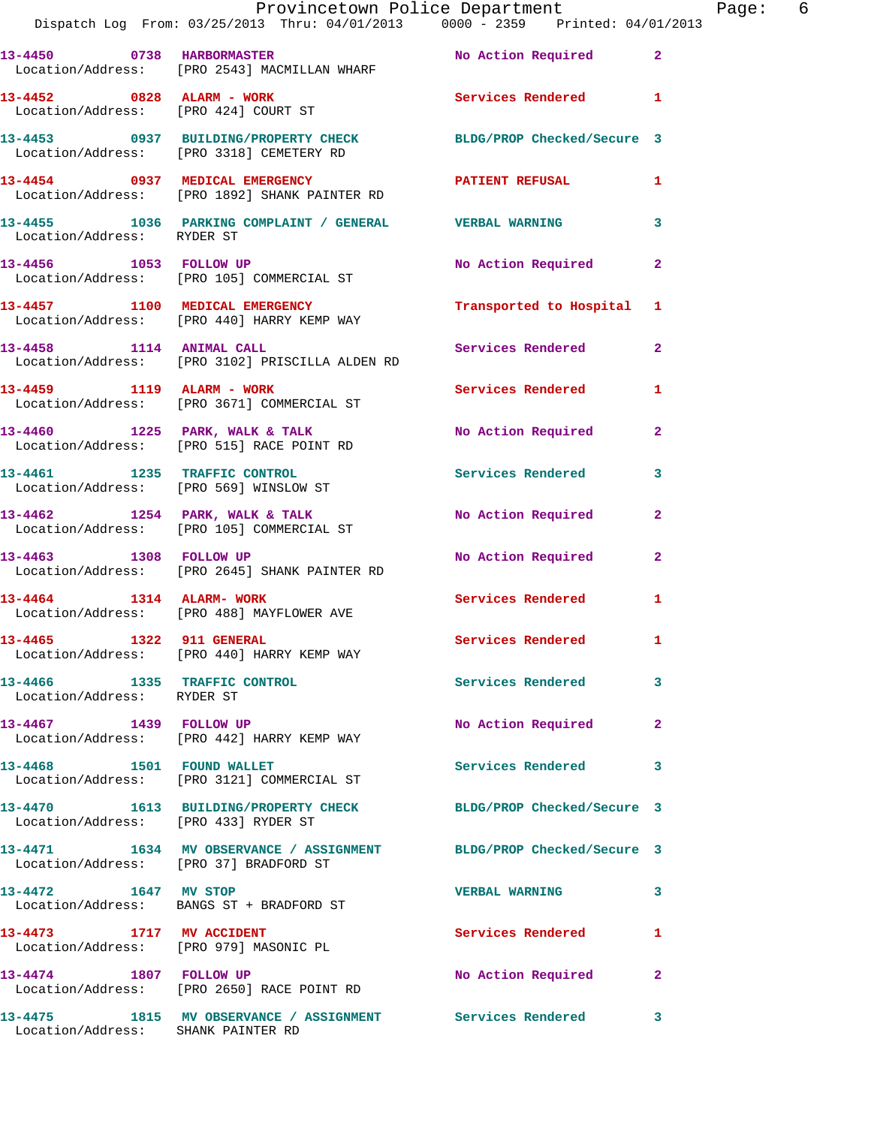|                                        | Provincetown Police Department The Rage: 6<br>Dispatch Log From: 03/25/2013 Thru: 04/01/2013 0000 - 2359 Printed: 04/01/2013   |                           |              |
|----------------------------------------|--------------------------------------------------------------------------------------------------------------------------------|---------------------------|--------------|
|                                        | 13-4450 0738 HARBORMASTER No Action Required 2<br>Location/Address: [PRO 2543] MACMILLAN WHARF                                 |                           |              |
|                                        | 13-4452 0828 ALARM - WORK<br>Location/Address: [PRO 424] COURT ST                                                              | Services Rendered 1       |              |
|                                        | 13-4453 0937 BUILDING/PROPERTY CHECK BLDG/PROP Checked/Secure 3<br>Location/Address: [PRO 3318] CEMETERY RD                    |                           |              |
|                                        | 13-4454       0937   MEDICAL EMERGENCY            PATIENT REFUSAL        1<br>Location/Address:    [PRO 1892] SHANK PAINTER RD |                           |              |
| Location/Address: RYDER ST             | 13-4455 1036 PARKING COMPLAINT / GENERAL VERBAL WARNING                                                                        |                           | 3            |
|                                        | 13-4456 1053 FOLLOW UP<br>Location/Address: [PRO 105] COMMERCIAL ST                                                            | No Action Required        | $\mathbf{2}$ |
|                                        | 13-4457 1100 MEDICAL EMERGENCY<br>Location/Address: [PRO 440] HARRY KEMP WAY                                                   | Transported to Hospital 1 |              |
|                                        | 13-4458 1114 ANIMAL CALL<br>Location/Address: [PRO 3102] PRISCILLA ALDEN RD                                                    | <b>Services Rendered</b>  | $\mathbf{2}$ |
|                                        | 13-4459 1119 ALARM - WORK<br>Location/Address: [PRO 3671] COMMERCIAL ST                                                        | Services Rendered 1       |              |
|                                        | 13-4460 1225 PARK, WALK & TALK NO Action Required<br>Location/Address: [PRO 515] RACE POINT RD                                 |                           | $\mathbf{2}$ |
|                                        | 13-4461 1235 TRAFFIC CONTROL<br>Location/Address: [PRO 569] WINSLOW ST                                                         | Services Rendered         | $\mathbf{3}$ |
|                                        | 13-4462 1254 PARK, WALK & TALK NO Action Required<br>Location/Address: [PRO 105] COMMERCIAL ST                                 |                           | 2            |
| 13-4463 1308 FOLLOW UP                 | Location/Address: [PRO 2645] SHANK PAINTER RD                                                                                  | No Action Required        | $\mathbf{2}$ |
|                                        | 13-4464 1314 ALARM-WORK<br>Location/Address: [PRO 488] MAYFLOWER AVE                                                           | Services Rendered 1       |              |
| 13-4465 1322 911 GENERAL               | Location/Address: [PRO 440] HARRY KEMP WAY                                                                                     | <b>Services Rendered</b>  |              |
| Location/Address: RYDER ST             | 13-4466 1335 TRAFFIC CONTROL                                                                                                   | <b>Services Rendered</b>  | 3            |
| 13-4467 1439 FOLLOW UP                 | Location/Address: [PRO 442] HARRY KEMP WAY                                                                                     | No Action Required        | $\mathbf{2}$ |
|                                        | 13-4468 1501 FOUND WALLET<br>Location/Address: [PRO 3121] COMMERCIAL ST                                                        | Services Rendered         | 3            |
| Location/Address: [PRO 433] RYDER ST   | 13-4470 1613 BUILDING/PROPERTY CHECK BLDG/PROP Checked/Secure 3                                                                |                           |              |
| Location/Address: [PRO 37] BRADFORD ST | 13-4471 1634 MV OBSERVANCE / ASSIGNMENT BLDG/PROP Checked/Secure 3                                                             |                           |              |
| 13-4472 1647 MV STOP                   | Location/Address: BANGS ST + BRADFORD ST                                                                                       | <b>VERBAL WARNING</b>     | 3            |
|                                        | 13-4473 1717 MV ACCIDENT<br>Location/Address: [PRO 979] MASONIC PL                                                             | <b>Services Rendered</b>  | 1            |
| 13-4474 1807 FOLLOW UP                 | Location/Address: [PRO 2650] RACE POINT RD                                                                                     | No Action Required        | 2            |
|                                        |                                                                                                                                |                           | 3            |

Location/Address: SHANK PAINTER RD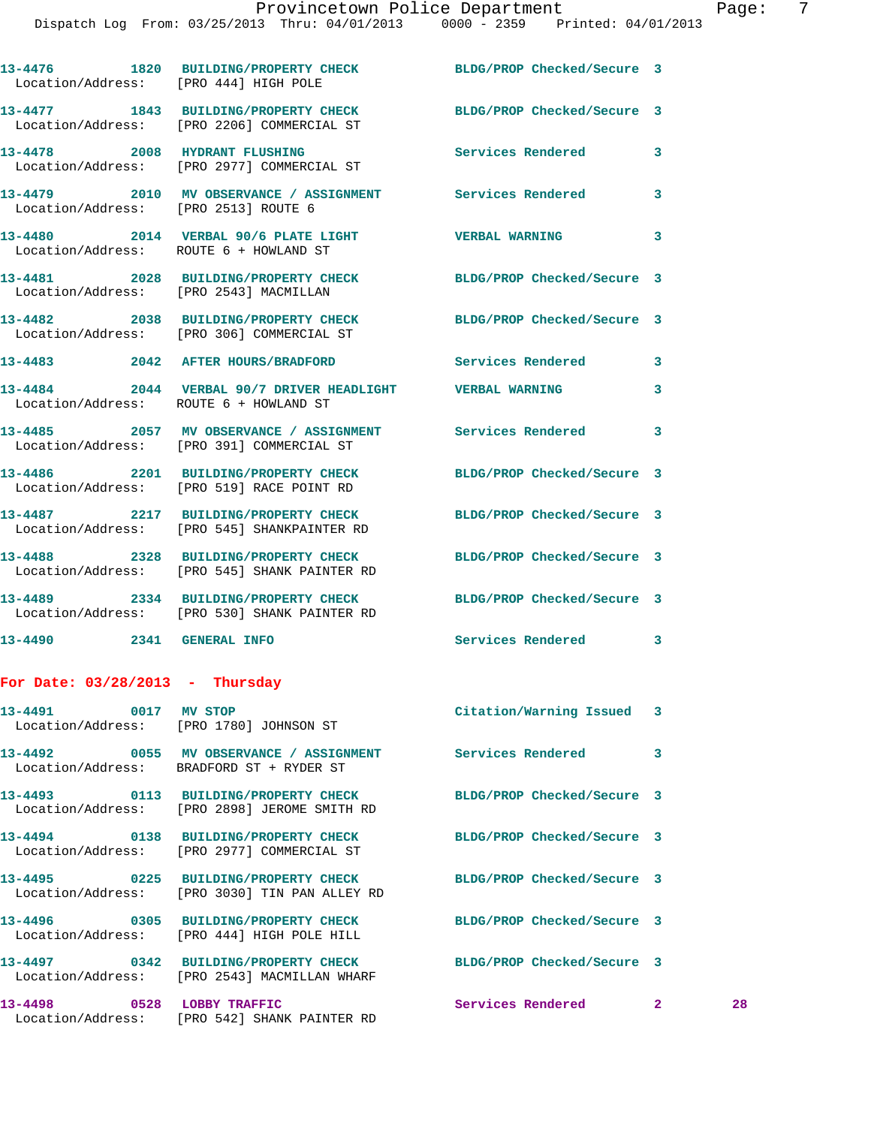Dispatch Log From: 03/25/2013 Thru: 04/01/2013 0000 - 2359 Printed: 04/01/2013

| Location/Address: [PRO 444] HIGH POLE  | 13-4476 1820 BUILDING/PROPERTY CHECK BLDG/PROP Checked/Secure 3                                                 |                            |              |    |
|----------------------------------------|-----------------------------------------------------------------------------------------------------------------|----------------------------|--------------|----|
|                                        | 13-4477 1843 BUILDING/PROPERTY CHECK<br>Location/Address: [PRO 2206] COMMERCIAL ST                              | BLDG/PROP Checked/Secure 3 |              |    |
|                                        | 13-4478 2008 HYDRANT FLUSHING<br>Location/Address: [PRO 2977] COMMERCIAL ST                                     | Services Rendered 3        |              |    |
| Location/Address: [PRO 2513] ROUTE 6   | 13-4479 2010 MV OBSERVANCE / ASSIGNMENT Services Rendered                                                       |                            | 3            |    |
| Location/Address: ROUTE 6 + HOWLAND ST | 13-4480 2014 VERBAL 90/6 PLATE LIGHT VERBAL WARNING                                                             |                            | 3            |    |
|                                        | 13-4481 2028 BUILDING/PROPERTY CHECK BLDG/PROP Checked/Secure 3<br>Location/Address: [PRO 2543] MACMILLAN       |                            |              |    |
|                                        | 13-4482 2038 BUILDING/PROPERTY CHECK BLDG/PROP Checked/Secure 3<br>Location/Address: [PRO 306] COMMERCIAL ST    |                            |              |    |
|                                        | 13-4483 2042 AFTER HOURS/BRADFORD Services Rendered                                                             |                            | 3            |    |
| Location/Address: ROUTE 6 + HOWLAND ST | 13-4484 2044 VERBAL 90/7 DRIVER HEADLIGHT VERBAL WARNING                                                        |                            | 3            |    |
|                                        | 13-4485 2057 MV OBSERVANCE / ASSIGNMENT Services Rendered<br>Location/Address: [PRO 391] COMMERCIAL ST          |                            | 3            |    |
|                                        | 13-4486 2201 BUILDING/PROPERTY CHECK BLDG/PROP Checked/Secure 3<br>Location/Address: [PRO 519] RACE POINT RD    |                            |              |    |
|                                        | 13-4487 2217 BUILDING/PROPERTY CHECK<br>Location/Address: [PRO 545] SHANKPAINTER RD                             | BLDG/PROP Checked/Secure 3 |              |    |
|                                        | 13-4488 2328 BUILDING/PROPERTY CHECK BLDG/PROP Checked/Secure 3<br>Location/Address: [PRO 545] SHANK PAINTER RD |                            |              |    |
|                                        | 13-4489 2334 BUILDING/PROPERTY CHECK BLDG/PROP Checked/Secure 3<br>Location/Address: [PRO 530] SHANK PAINTER RD |                            |              |    |
| 13-4490 2341 GENERAL INFO              |                                                                                                                 | Services Rendered          | 3            |    |
| For Date: $03/28/2013$ - Thursday      |                                                                                                                 |                            |              |    |
| 13-4491 0017 MV STOP                   | Location/Address: [PRO 1780] JOHNSON ST                                                                         | Citation/Warning Issued 3  |              |    |
|                                        | 13-4492 6055 MV OBSERVANCE / ASSIGNMENT Services Rendered<br>Location/Address: BRADFORD ST + RYDER ST           |                            | 3            |    |
|                                        | 13-4493 0113 BUILDING/PROPERTY CHECK<br>Location/Address: [PRO 2898] JEROME SMITH RD                            | BLDG/PROP Checked/Secure 3 |              |    |
|                                        | 13-4494 0138 BUILDING/PROPERTY CHECK<br>Location/Address: [PRO 2977] COMMERCIAL ST                              | BLDG/PROP Checked/Secure 3 |              |    |
|                                        | 13-4495 0225 BUILDING/PROPERTY CHECK<br>Location/Address: [PRO 3030] TIN PAN ALLEY RD                           | BLDG/PROP Checked/Secure 3 |              |    |
|                                        | 13-4496 0305 BUILDING/PROPERTY CHECK<br>Location/Address: [PRO 444] HIGH POLE HILL                              | BLDG/PROP Checked/Secure 3 |              |    |
|                                        | 13-4497 0342 BUILDING/PROPERTY CHECK BLDG/PROP Checked/Secure 3<br>Location/Address: [PRO 2543] MACMILLAN WHARF |                            |              |    |
|                                        | 13-4498 0528 LOBBY TRAFFIC<br>Location/Address: [PRO 542] SHANK PAINTER RD                                      | Services Rendered          | $\mathbf{2}$ | 28 |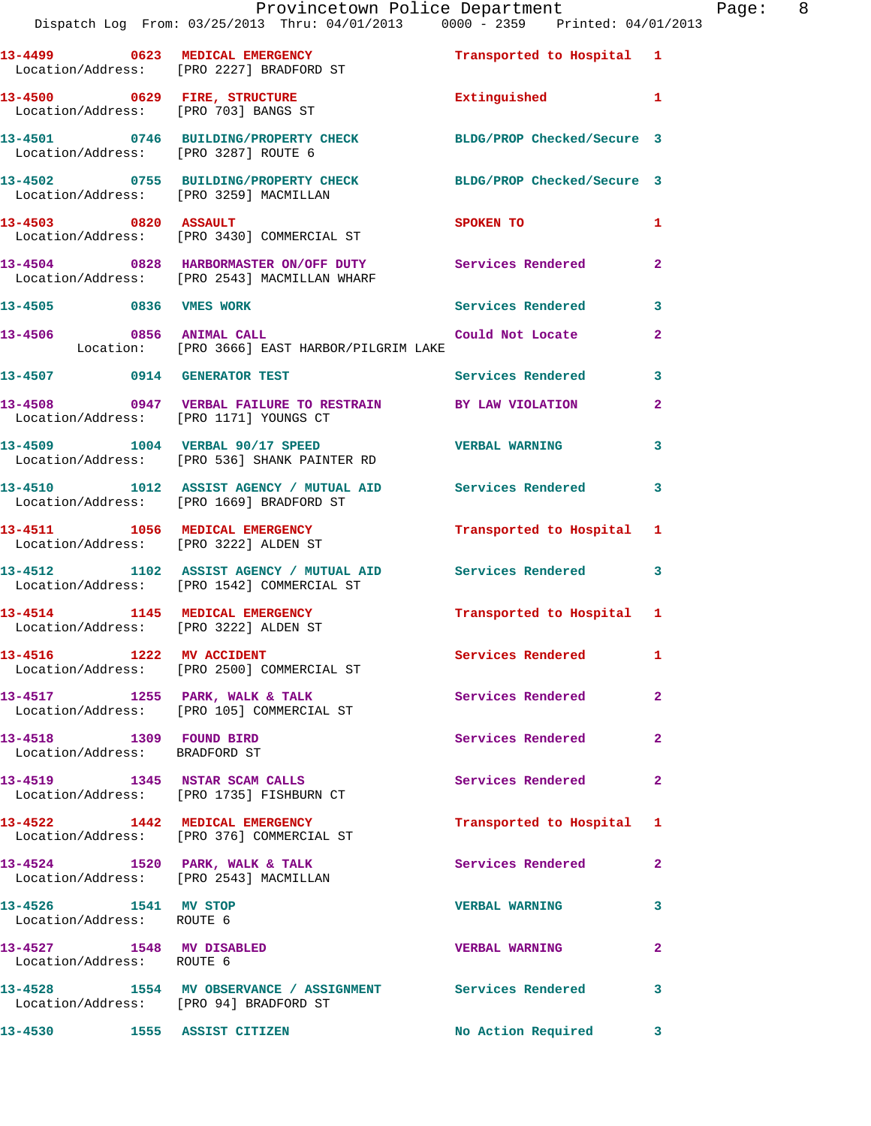|                                                          | Dispatch Log From: 03/25/2013 Thru: 04/01/2013 0000 - 2359 Printed: 04/01/2013                                                          | Provincetown Police Department Page: 8 |                         |  |
|----------------------------------------------------------|-----------------------------------------------------------------------------------------------------------------------------------------|----------------------------------------|-------------------------|--|
|                                                          | 13-4499 0623 MEDICAL EMERGENCY <b>12 Contains the Strategy of Transported</b> to Hospital 1<br>Location/Address: [PRO 2227] BRADFORD ST |                                        |                         |  |
|                                                          | 13-4500 0629 FIRE, STRUCTURE <b>Extinguished</b> 1<br>Location/Address: [PRO 703] BANGS ST                                              |                                        |                         |  |
|                                                          | 13-4501 0746 BUILDING/PROPERTY CHECK BLDG/PROP Checked/Secure 3<br>Location/Address: [PRO 3287] ROUTE 6                                 |                                        |                         |  |
|                                                          | 13-4502 0755 BUILDING/PROPERTY CHECK BLDG/PROP Checked/Secure 3<br>Location/Address: [PRO 3259] MACMILLAN                               |                                        |                         |  |
|                                                          | 13-4503 0820 ASSAULT<br>Location/Address: [PRO 3430] COMMERCIAL ST                                                                      | <b>SPOKEN TO</b>                       | 1                       |  |
|                                                          | 13-4504 0828 HARBORMASTER ON/OFF DUTY Services Rendered<br>Location/Address: [PRO 2543] MACMILLAN WHARF                                 |                                        | $\mathbf{2}$            |  |
|                                                          | 13-4505 0836 VMES WORK                                                                                                                  | Services Rendered 3                    |                         |  |
|                                                          | 13-4506 0856 ANIMAL CALL<br>Location: [PRO 3666] EAST HARBOR/PILGRIM LAKE                                                               | Could Not Locate                       | $\mathbf{2}$            |  |
|                                                          | 13-4507 0914 GENERATOR TEST                                                                                                             | Services Rendered                      | $\overline{\mathbf{3}}$ |  |
|                                                          | 13-4508 0947 VERBAL FAILURE TO RESTRAIN BY LAW VIOLATION<br>Location/Address: [PRO 1171] YOUNGS CT                                      |                                        | $\overline{2}$          |  |
|                                                          | 13-4509 1004 VERBAL 90/17 SPEED VERBAL WARNING<br>Location/Address: [PRO 536] SHANK PAINTER RD                                          |                                        | $\overline{\mathbf{3}}$ |  |
|                                                          | 13-4510 1012 ASSIST AGENCY / MUTUAL AID Services Rendered<br>Location/Address: [PRO 1669] BRADFORD ST                                   |                                        | $\overline{\mathbf{3}}$ |  |
|                                                          | 13-4511 1056 MEDICAL EMERGENCY Transported to Hospital 1<br>Location/Address: [PRO 3222] ALDEN ST                                       |                                        |                         |  |
|                                                          | 13-4512 1102 ASSIST AGENCY / MUTUAL AID Services Rendered<br>Location/Address: [PRO 1542] COMMERCIAL ST                                 |                                        | $\overline{\mathbf{3}}$ |  |
|                                                          | 13-4514 1145 MEDICAL EMERGENCY 1 Transported to Hospital 1<br>Location/Address: [PRO 3222] ALDEN ST                                     |                                        |                         |  |
|                                                          | 13-4516 1222 MV ACCIDENT<br>Location/Address: [PRO 2500] COMMERCIAL ST                                                                  | Services Rendered                      | $\mathbf{1}$            |  |
|                                                          | 13-4517 1255 PARK, WALK & TALK<br>Location/Address: [PRO 105] COMMERCIAL ST                                                             | Services Rendered                      | $\overline{2}$          |  |
| 13-4518 1309 FOUND BIRD<br>Location/Address: BRADFORD ST |                                                                                                                                         | Services Rendered                      | $\mathbf{2}$            |  |
|                                                          | 13-4519 1345 NSTAR SCAM CALLS<br>Location/Address: [PRO 1735] FISHBURN CT                                                               | Services Rendered                      | $\mathbf{2}$            |  |
|                                                          | 13-4522 1442 MEDICAL EMERGENCY<br>Location/Address: [PRO 376] COMMERCIAL ST                                                             | Transported to Hospital 1              |                         |  |
|                                                          | 13-4524 1520 PARK, WALK & TALK<br>Location/Address: [PRO 2543] MACMILLAN                                                                | Services Rendered                      | $\mathbf{2}$            |  |
| 13-4526 1541 MV STOP<br>Location/Address: ROUTE 6        |                                                                                                                                         | <b>VERBAL WARNING</b>                  | 3                       |  |
| 13-4527 1548 MV DISABLED<br>Location/Address: ROUTE 6    |                                                                                                                                         | <b>VERBAL WARNING</b>                  | $\mathbf{2}$            |  |
|                                                          | 13-4528 1554 MV OBSERVANCE / ASSIGNMENT Services Rendered<br>Location/Address: [PRO 94] BRADFORD ST                                     |                                        | 3                       |  |
|                                                          | 13-4530 1555 ASSIST CITIZEN                                                                                                             | No Action Required                     | $\mathbf{3}$            |  |
|                                                          |                                                                                                                                         |                                        |                         |  |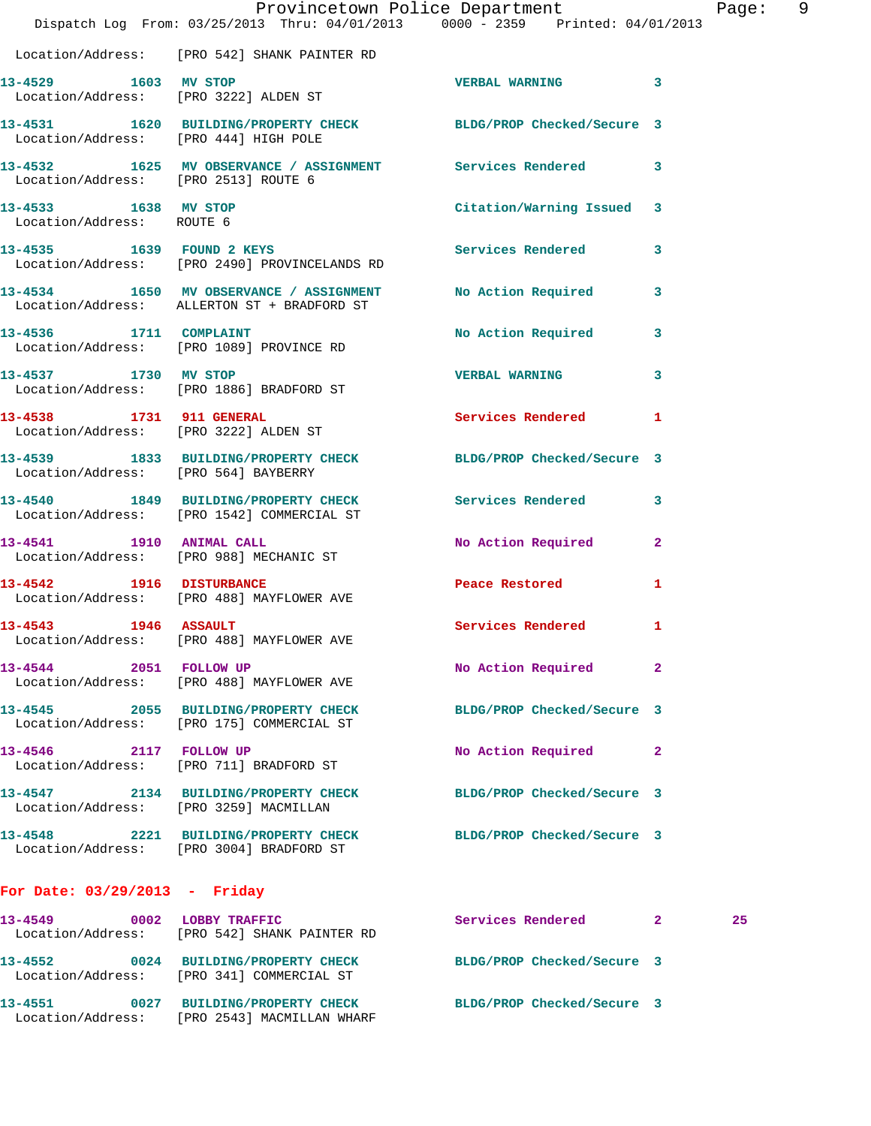|                                                   | Dispatch Log From: 03/25/2013 Thru: 04/01/2013 0000 - 2359 Printed: 04/01/2013         | Provincetown Police Department |              | Page: 9 |  |
|---------------------------------------------------|----------------------------------------------------------------------------------------|--------------------------------|--------------|---------|--|
|                                                   | Location/Address: [PRO 542] SHANK PAINTER RD                                           |                                |              |         |  |
| 13-4529 1603 MV STOP                              | Location/Address: [PRO 3222] ALDEN ST                                                  | VERBAL WARNING 3               |              |         |  |
| Location/Address: [PRO 444] HIGH POLE             | 13-4531 1620 BUILDING/PROPERTY CHECK BLDG/PROP Checked/Secure 3                        |                                |              |         |  |
| Location/Address: [PRO 2513] ROUTE 6              | 13-4532 1625 MV OBSERVANCE / ASSIGNMENT Services Rendered 3                            |                                |              |         |  |
| 13-4533 1638 MV STOP<br>Location/Address: ROUTE 6 |                                                                                        | Citation/Warning Issued 3      |              |         |  |
|                                                   | 13-4535 1639 FOUND 2 KEYS<br>Location/Address: [PRO 2490] PROVINCELANDS RD             | Services Rendered 3            |              |         |  |
|                                                   | 13-4534 1650 MV OBSERVANCE / ASSIGNMENT<br>Location/Address: ALLERTON ST + BRADFORD ST | <b>No Action Required</b>      | 3            |         |  |
| 13-4536 1711 COMPLAINT                            | Location/Address: [PRO 1089] PROVINCE RD                                               | No Action Required             | $\mathbf{3}$ |         |  |
|                                                   | 13-4537 1730 MV STOP<br>Location/Address: [PRO 1886] BRADFORD ST                       | <b>VERBAL WARNING</b>          | 3            |         |  |
|                                                   | 13-4538 1731 911 GENERAL<br>Location/Address: [PRO 3222] ALDEN ST                      | Services Rendered              | 1            |         |  |
| Location/Address: [PRO 564] BAYBERRY              | 13-4539 1833 BUILDING/PROPERTY CHECK BLDG/PROP Checked/Secure 3                        |                                |              |         |  |
|                                                   | 13-4540 1849 BUILDING/PROPERTY CHECK<br>Location/Address: [PRO 1542] COMMERCIAL ST     | <b>Services Rendered</b>       | 3            |         |  |
|                                                   | 13-4541 1910 ANIMAL CALL<br>Location/Address: [PRO 988] MECHANIC ST                    | No Action Required 2           |              |         |  |
| 13-4542 1916 DISTURBANCE                          | Location/Address: [PRO 488] MAYFLOWER AVE                                              | Peace Restored <b>Seaps</b>    | 1            |         |  |
| 13-4543 1946 ASSAULT                              | Location/Address: [PRO 488] MAYFLOWER AVE                                              | Services Rendered 1            |              |         |  |
| 13-4544 2051 FOLLOW UP                            | Location/Address: [PRO 488] MAYFLOWER AVE                                              | No Action Required             | $\mathbf{2}$ |         |  |
|                                                   | 13-4545 2055 BUILDING/PROPERTY CHECK<br>Location/Address: [PRO 175] COMMERCIAL ST      | BLDG/PROP Checked/Secure 3     |              |         |  |
| 13-4546 2117 FOLLOW UP                            | Location/Address: [PRO 711] BRADFORD ST                                                | No Action Required             | $\mathbf{2}$ |         |  |
|                                                   | 13-4547 2134 BUILDING/PROPERTY CHECK<br>Location/Address: [PRO 3259] MACMILLAN         | BLDG/PROP Checked/Secure 3     |              |         |  |
|                                                   | 13-4548 2221 BUILDING/PROPERTY CHECK<br>Location/Address: [PRO 3004] BRADFORD ST       | BLDG/PROP Checked/Secure 3     |              |         |  |
| For Date: $03/29/2013$ - Friday                   |                                                                                        |                                |              |         |  |
|                                                   | 13-4549 0002 LOBBY TRAFFIC<br>Location/Address: [PRO 542] SHANK PAINTER RD             | Services Rendered 2            |              | 25      |  |
|                                                   | 13-4552 0024 BUILDING/PROPERTY CHECK<br>Location/Address: [PRO 341] COMMERCIAL ST      | BLDG/PROP Checked/Secure 3     |              |         |  |
|                                                   | 13-4551 0027 BUILDING/PROPERTY CHECK<br>Location/Address: [PRO 2543] MACMILLAN WHARF   | BLDG/PROP Checked/Secure 3     |              |         |  |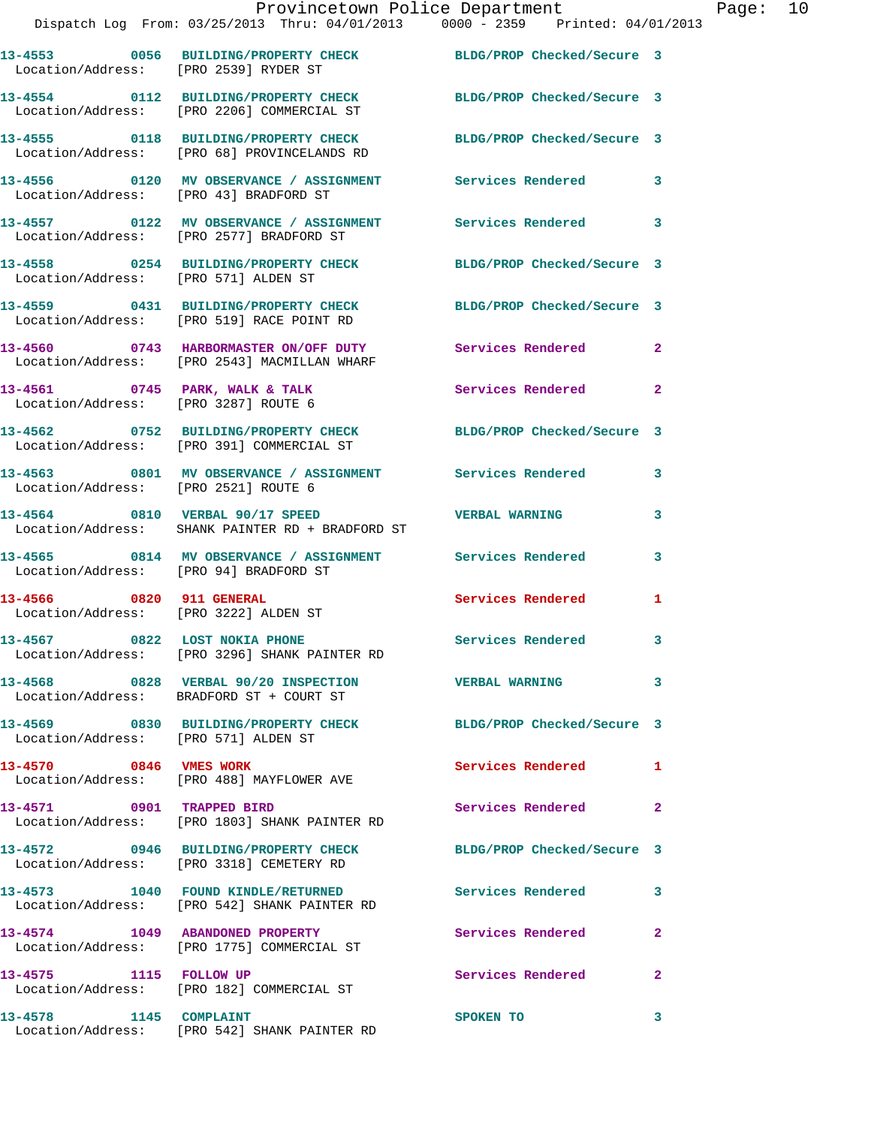| Propacon pog                           |                                                                                                              |                            |                         |
|----------------------------------------|--------------------------------------------------------------------------------------------------------------|----------------------------|-------------------------|
| Location/Address: [PRO 2539] RYDER ST  | 13-4553 0056 BUILDING/PROPERTY CHECK BLDG/PROP Checked/Secure 3                                              |                            |                         |
|                                        | 13-4554 0112 BUILDING/PROPERTY CHECK<br>Location/Address: [PRO 2206] COMMERCIAL ST                           | BLDG/PROP Checked/Secure 3 |                         |
|                                        | 13-4555 0118 BUILDING/PROPERTY CHECK<br>Location/Address: [PRO 68] PROVINCELANDS RD                          | BLDG/PROP Checked/Secure 3 |                         |
| Location/Address: [PRO 43] BRADFORD ST | 13-4556  0120 MV OBSERVANCE / ASSIGNMENT Services Rendered                                                   |                            | 3                       |
|                                        | 13-4557 0122 MV OBSERVANCE / ASSIGNMENT Services Rendered 3<br>Location/Address: [PRO 2577] BRADFORD ST      |                            |                         |
| Location/Address: [PRO 571] ALDEN ST   | 13-4558 0254 BUILDING/PROPERTY CHECK                                                                         | BLDG/PROP Checked/Secure 3 |                         |
|                                        | 13-4559 0431 BUILDING/PROPERTY CHECK<br>Location/Address: [PRO 519] RACE POINT RD                            | BLDG/PROP Checked/Secure 3 |                         |
|                                        | 13-4560 0743 HARBORMASTER ON/OFF DUTY Services Rendered 2<br>Location/Address: [PRO 2543] MACMILLAN WHARF    |                            |                         |
| Location/Address: [PRO 3287] ROUTE 6   | 13-4561 0745 PARK, WALK & TALK                                                                               | Services Rendered 2        |                         |
|                                        | 13-4562 0752 BUILDING/PROPERTY CHECK BLDG/PROP Checked/Secure 3<br>Location/Address: [PRO 391] COMMERCIAL ST |                            |                         |
| Location/Address: [PRO 2521] ROUTE 6   | 13-4563 0801 MV OBSERVANCE / ASSIGNMENT Services Rendered                                                    |                            | 3                       |
|                                        | 13-4564 0810 VERBAL 90/17 SPEED<br>Location/Address: SHANK PAINTER RD + BRADFORD ST                          | <b>VERBAL WARNING</b>      | 3                       |
| Location/Address: [PRO 94] BRADFORD ST | 13-4565 0814 MV OBSERVANCE / ASSIGNMENT Services Rendered                                                    |                            | 3                       |
| 13-4566 0820 911 GENERAL               | Location/Address: [PRO 3222] ALDEN ST                                                                        | Services Rendered          | 1                       |
|                                        | 13-4567 0822 LOST NOKIA PHONE<br>Location/Address: [PRO 3296] SHANK PAINTER RD                               | Services Rendered 3        |                         |
|                                        | 13-4568 0828 VERBAL 90/20 INSPECTION<br>Location/Address: BRADFORD ST + COURT ST                             | <b>VERBAL WARNING</b>      | 3                       |
| Location/Address: [PRO 571] ALDEN ST   | 13-4569 0830 BUILDING/PROPERTY CHECK                                                                         | BLDG/PROP Checked/Secure 3 |                         |
| 13-4570 0846 VMES WORK                 | Location/Address: [PRO 488] MAYFLOWER AVE                                                                    | Services Rendered          | $\mathbf{1}$            |
| 13-4571 0901 TRAPPED BIRD              | Location/Address: [PRO 1803] SHANK PAINTER RD                                                                | Services Rendered          | $\mathbf{2}$            |
|                                        | 13-4572 0946 BUILDING/PROPERTY CHECK<br>Location/Address: [PRO 3318] CEMETERY RD                             | BLDG/PROP Checked/Secure 3 |                         |
|                                        | 13-4573 1040 FOUND KINDLE/RETURNED<br>Location/Address: [PRO 542] SHANK PAINTER RD                           | <b>Services Rendered</b>   | 3                       |
| 13-4574 1049 ABANDONED PROPERTY        | Location/Address: [PRO 1775] COMMERCIAL ST                                                                   | Services Rendered          | $\overline{2}$          |
| 13-4575 1115 FOLLOW UP                 | Location/Address: [PRO 182] COMMERCIAL ST                                                                    | Services Rendered          | $\mathbf{2}$            |
|                                        |                                                                                                              | SPOKEN TO                  | $\overline{\mathbf{3}}$ |

Location/Address: [PRO 542] SHANK PAINTER RD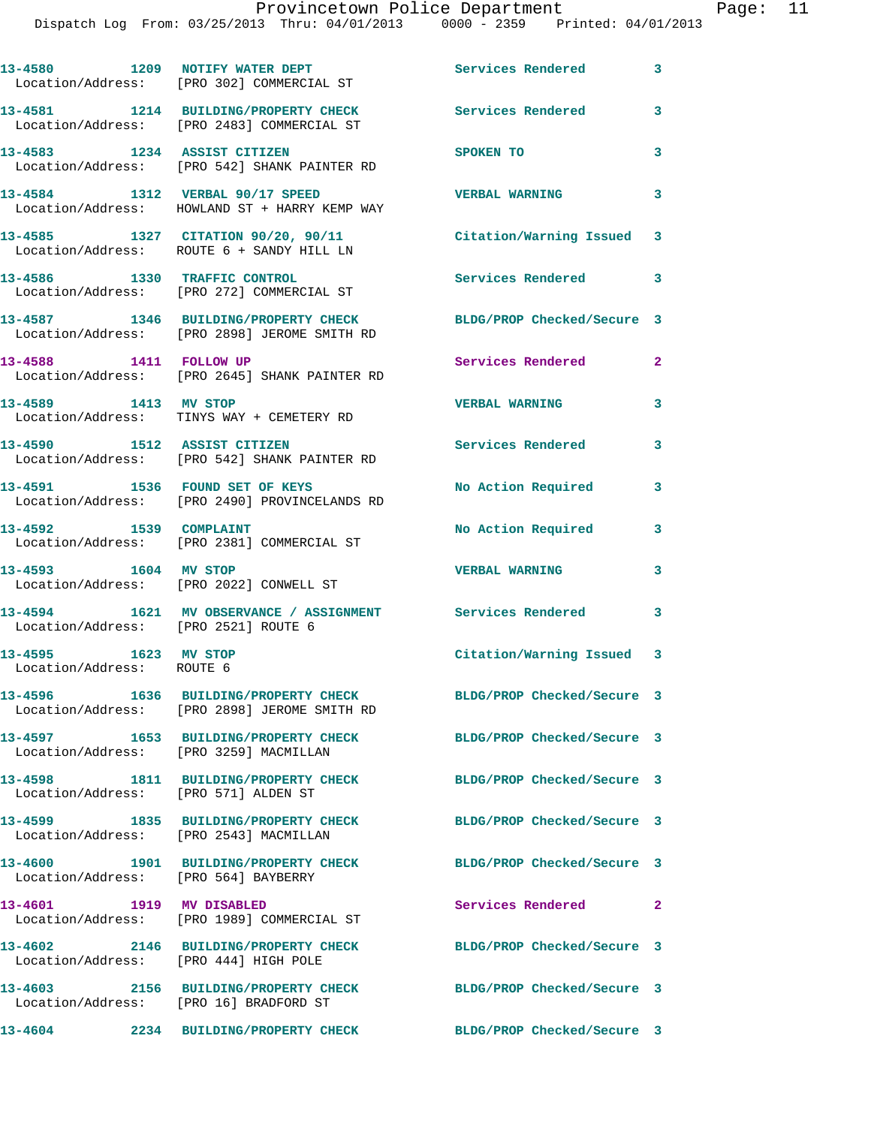Dispatch Log From: 03/25/2013 Thru: 04/01/2013 0000 - 2359 Printed: 04/01/2013

13-4580 1209 NOTIFY WATER DEPT Services Rendered 3 Location/Address: [PRO 302] COMMERCIAL ST **13-4581 1214 BUILDING/PROPERTY CHECK Services Rendered 3**  Location/Address: [PRO 2483] COMMERCIAL ST **13-4583 1234 ASSIST CITIZEN SPOKEN TO 3**  Location/Address: [PRO 542] SHANK PAINTER RD **13-4584 1312 VERBAL 90/17 SPEED VERBAL WARNING 3**  Location/Address: HOWLAND ST + HARRY KEMP WAY **13-4585 1327 CITATION 90/20, 90/11 Citation/Warning Issued 3**  Location/Address: ROUTE 6 + SANDY HILL LN **13-4586 1330 TRAFFIC CONTROL Services Rendered 3**  Location/Address: [PRO 272] COMMERCIAL ST **13-4587 1346 BUILDING/PROPERTY CHECK BLDG/PROP Checked/Secure 3**  Location/Address: [PRO 2898] JEROME SMITH RD 13-4588 1411 FOLLOW UP **Services Rendered** 2 Location/Address: [PRO 2645] SHANK PAINTER RD **13-4589 1413 MV STOP VERBAL WARNING 3**  Location/Address: TINYS WAY + CEMETERY RD **13-4590 1512 ASSIST CITIZEN Services Rendered 3**  Location/Address: [PRO 542] SHANK PAINTER RD **13-4591 1536 FOUND SET OF KEYS No Action Required 3**  Location/Address: [PRO 2490] PROVINCELANDS RD **13-4592 1539 COMPLAINT No Action Required 3**  Location/Address: [PRO 2381] COMMERCIAL ST **13-4593 1604 MV STOP VERBAL WARNING 3**  Location/Address: [PRO 2022] CONWELL ST **13-4594 1621 MV OBSERVANCE / ASSIGNMENT Services Rendered 3**  Location/Address: [PRO 2521] ROUTE 6 **13-4595 1623 MV STOP Citation/Warning Issued 3**  Location/Address: ROUTE 6 **13-4596 1636 BUILDING/PROPERTY CHECK BLDG/PROP Checked/Secure 3**  Location/Address: [PRO 2898] JEROME SMITH RD **13-4597 1653 BUILDING/PROPERTY CHECK BLDG/PROP Checked/Secure 3**  Location/Address: [PRO 3259] MACMILLAN **13-4598 1811 BUILDING/PROPERTY CHECK BLDG/PROP Checked/Secure 3**  Location/Address: [PRO 571] ALDEN ST **13-4599 1835 BUILDING/PROPERTY CHECK BLDG/PROP Checked/Secure 3**  Location/Address: [PRO 2543] MACMILLAN **13-4600 1901 BUILDING/PROPERTY CHECK BLDG/PROP Checked/Secure 3**  Location/Address: [PRO 564] BAYBERRY **13-4601 1919 MV DISABLED Services Rendered 2**  Location/Address: [PRO 1989] COMMERCIAL ST **13-4602 2146 BUILDING/PROPERTY CHECK BLDG/PROP Checked/Secure 3**  Location/Address: [PRO 444] HIGH POLE **13-4603 2156 BUILDING/PROPERTY CHECK BLDG/PROP Checked/Secure 3**  Location/Address: [PRO 16] BRADFORD ST **13-4604 2234 BUILDING/PROPERTY CHECK BLDG/PROP Checked/Secure 3**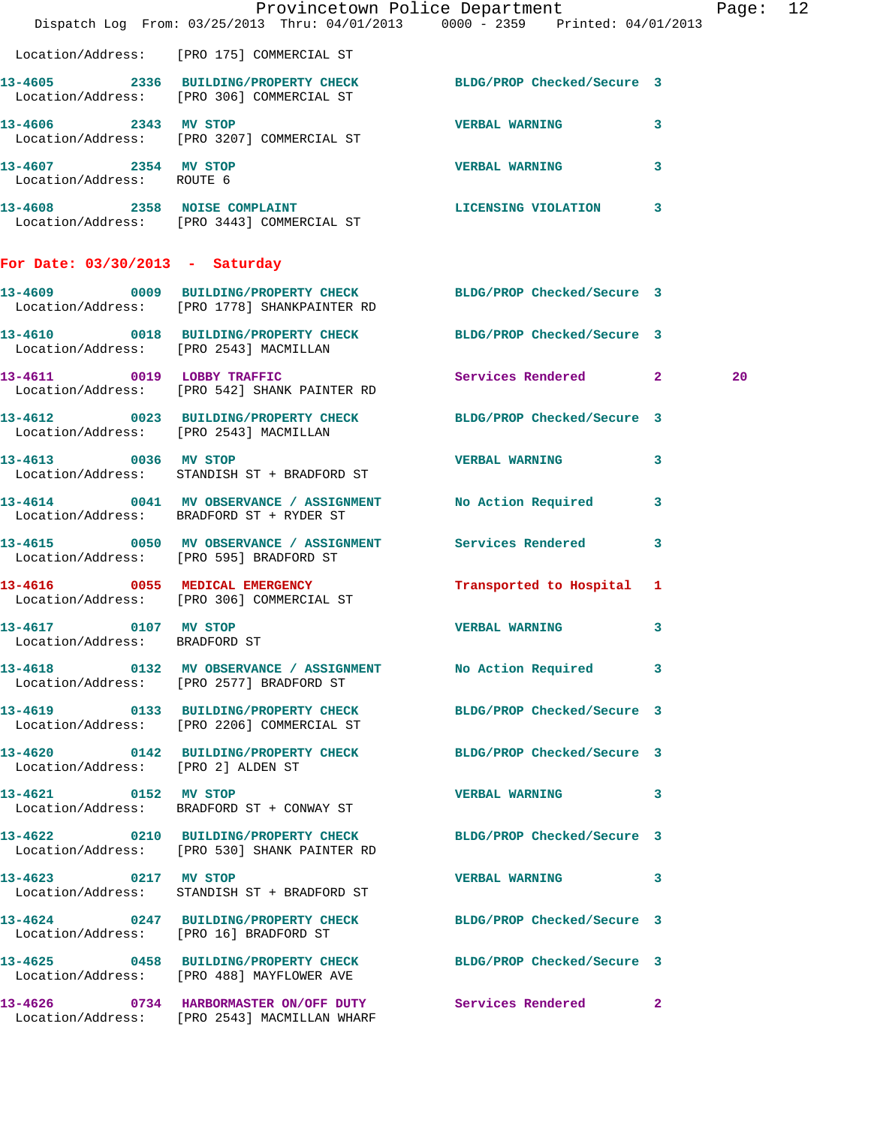|                                                       | Dispatch Log From: 03/25/2013 Thru: 04/01/2013 0000 - 2359 Printed: 04/01/2013                                  | Provincetown Police Department |    | Page: 12 |  |
|-------------------------------------------------------|-----------------------------------------------------------------------------------------------------------------|--------------------------------|----|----------|--|
|                                                       | Location/Address: [PRO 175] COMMERCIAL ST                                                                       |                                |    |          |  |
|                                                       | 13-4605 2336 BUILDING/PROPERTY CHECK BLDG/PROP Checked/Secure 3<br>Location/Address: [PRO 306] COMMERCIAL ST    |                                |    |          |  |
| 13-4606 2343 MV STOP                                  | Location/Address: [PRO 3207] COMMERCIAL ST                                                                      | <b>VERBAL WARNING</b>          | 3  |          |  |
| 13-4607 2354 MV STOP<br>Location/Address: ROUTE 6     |                                                                                                                 | <b>VERBAL WARNING 3</b>        |    |          |  |
|                                                       | 13-4608 2358 NOISE COMPLAINT CONSERVANT DESCRIPTION 13<br>Location/Address: [PRO 3443] COMMERCIAL ST            |                                |    |          |  |
| For Date: $03/30/2013$ - Saturday                     |                                                                                                                 |                                |    |          |  |
|                                                       | 13-4609 0009 BUILDING/PROPERTY CHECK BLDG/PROP Checked/Secure 3<br>Location/Address: [PRO 1778] SHANKPAINTER RD |                                |    |          |  |
|                                                       | 13-4610 0018 BUILDING/PROPERTY CHECK BLDG/PROP Checked/Secure 3<br>Location/Address: [PRO 2543] MACMILLAN       |                                |    |          |  |
|                                                       | 13-4611 0019 LOBBY TRAFFIC<br>Location/Address: [PRO 542] SHANK PAINTER RD                                      | Services Rendered 2            |    | 20       |  |
| Location/Address: [PRO 2543] MACMILLAN                | 13-4612 0023 BUILDING/PROPERTY CHECK BLDG/PROP Checked/Secure 3                                                 |                                |    |          |  |
|                                                       | 13-4613 0036 MV STOP<br>Location/Address: STANDISH ST + BRADFORD ST                                             | <b>VERBAL WARNING</b>          | 3  |          |  |
|                                                       | 13-4614 0041 MV OBSERVANCE / ASSIGNMENT<br>Location/Address: BRADFORD ST + RYDER ST                             | No Action Required 3           |    |          |  |
|                                                       | 13-4615 0050 MV OBSERVANCE / ASSIGNMENT Services Rendered 3<br>Location/Address: [PRO 595] BRADFORD ST          |                                |    |          |  |
|                                                       | 13-4616 0055 MEDICAL EMERGENCY<br>Location/Address: [PRO 306] COMMERCIAL ST                                     | Transported to Hospital 1      |    |          |  |
| 13-4617 0107 MV STOP<br>Location/Address: BRADFORD ST |                                                                                                                 | <b>VERBAL WARNING</b>          | 3  |          |  |
|                                                       | 13-4618 0132 MV OBSERVANCE / ASSIGNMENT No Action Required 3<br>Location/Address: [PRO 2577] BRADFORD ST        |                                |    |          |  |
|                                                       | 13-4619 0133 BUILDING/PROPERTY CHECK BLDG/PROP Checked/Secure 3<br>Location/Address: [PRO 2206] COMMERCIAL ST   |                                |    |          |  |
| Location/Address: [PRO 2] ALDEN ST                    | 13-4620 0142 BUILDING/PROPERTY CHECK BLDG/PROP Checked/Secure 3                                                 |                                |    |          |  |
| 13-4621 0152 MV STOP                                  | Location/Address: BRADFORD ST + CONWAY ST                                                                       | VERBAL WARNING 3               |    |          |  |
|                                                       | 13-4622 0210 BUILDING/PROPERTY CHECK BLDG/PROP Checked/Secure 3<br>Location/Address: [PRO 530] SHANK PAINTER RD |                                |    |          |  |
| 13-4623 0217 MV STOP                                  | Location/Address: STANDISH ST + BRADFORD ST                                                                     | VERBAL WARNING 3               |    |          |  |
| Location/Address: [PRO 16] BRADFORD ST                | 13-4624 0247 BUILDING/PROPERTY CHECK BLDG/PROP Checked/Secure 3                                                 |                                |    |          |  |
|                                                       | 13-4625 0458 BUILDING/PROPERTY CHECK BLDG/PROP Checked/Secure 3<br>Location/Address: [PRO 488] MAYFLOWER AVE    |                                |    |          |  |
|                                                       | 13-4626 0734 HARBORMASTER ON/OFF DUTY Services Rendered<br>Location/Address: [PRO 2543] MACMILLAN WHARF         |                                | -2 |          |  |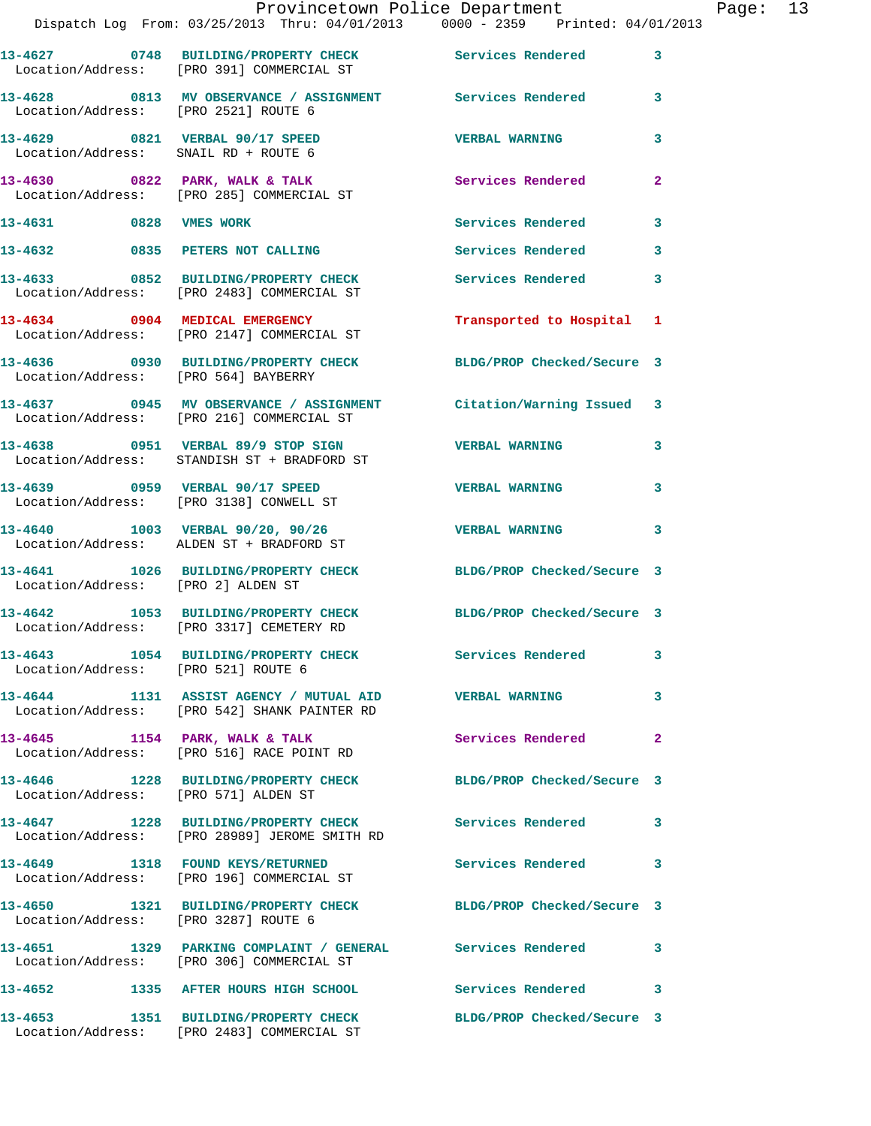|                                      | Dispatch Log From: 03/25/2013 Thru: 04/01/2013 0000 - 2359 Printed: 04/01/2013                                     | Provincetown Police Department |              | Page: 13 |  |
|--------------------------------------|--------------------------------------------------------------------------------------------------------------------|--------------------------------|--------------|----------|--|
|                                      | 13-4627 0748 BUILDING/PROPERTY CHECK Services Rendered 3<br>Location/Address: [PRO 391] COMMERCIAL ST              |                                |              |          |  |
| Location/Address: [PRO 2521] ROUTE 6 | 13-4628 0813 MV OBSERVANCE / ASSIGNMENT Services Rendered 3                                                        |                                |              |          |  |
|                                      | 13-4629 0821 VERBAL 90/17 SPEED<br>Location/Address: SNAIL RD + ROUTE 6                                            | <b>VERBAL WARNING</b>          | 3            |          |  |
|                                      | 13-4630 0822 PARK, WALK & TALK (Services Rendered Location/Address: [PRO 285] COMMERCIAL ST                        |                                | $\mathbf{2}$ |          |  |
| 13-4631 0828 VMES WORK               |                                                                                                                    | Services Rendered 3            |              |          |  |
|                                      | 13-4632 0835 PETERS NOT CALLING                                                                                    | Services Rendered 3            |              |          |  |
|                                      | 13-4633 0852 BUILDING/PROPERTY CHECK Services Rendered 3<br>Location/Address: [PRO 2483] COMMERCIAL ST             |                                |              |          |  |
|                                      | 13-4634 0904 MEDICAL EMERGENCY<br>Location/Address: [PRO 2147] COMMERCIAL ST                                       | Transported to Hospital 1      |              |          |  |
| Location/Address: [PRO 564] BAYBERRY | 13-4636 0930 BUILDING/PROPERTY CHECK BLDG/PROP Checked/Secure 3                                                    |                                |              |          |  |
|                                      | 13-4637 0945 MV OBSERVANCE / ASSIGNMENT Citation/Warning Issued 3<br>Location/Address: [PRO 216] COMMERCIAL ST     |                                |              |          |  |
|                                      | 13-4638      0951   VERBAL 89/9 STOP SIGN          VERBAL WARNING<br>Location/Address:   STANDISH ST + BRADFORD ST |                                | 3            |          |  |
|                                      | 13-4639 0959 VERBAL 90/17 SPEED<br>Location/Address: [PRO 3138] CONWELL ST                                         | <b>VERBAL WARNING</b>          | 3            |          |  |
|                                      | 13-4640 1003 VERBAL 90/20, 90/26 VERBAL WARNING<br>Location/Address: ALDEN ST + BRADFORD ST                        |                                | $\mathbf{3}$ |          |  |
| Location/Address: [PRO 2] ALDEN ST   | 13-4641 1026 BUILDING/PROPERTY CHECK BLDG/PROP Checked/Secure 3                                                    |                                |              |          |  |
|                                      | 13-4642 1053 BUILDING/PROPERTY CHECK BLDG/PROP Checked/Secure 3<br>Location/Address: [PRO 3317] CEMETERY RD        |                                |              |          |  |
| Location/Address: [PRO 521] ROUTE 6  | 13-4643 1054 BUILDING/PROPERTY CHECK Services Rendered 3                                                           |                                |              |          |  |
|                                      | 13-4644 1131 ASSIST AGENCY / MUTUAL AID VERBAL WARNING<br>Location/Address: [PRO 542] SHANK PAINTER RD             |                                | 3            |          |  |
|                                      | 13-4645 1154 PARK, WALK & TALK 6 Services Rendered 2<br>Location/Address: [PRO 516] RACE POINT RD                  |                                |              |          |  |
| Location/Address: [PRO 571] ALDEN ST | 13-4646 1228 BUILDING/PROPERTY CHECK BLDG/PROP Checked/Secure 3                                                    |                                |              |          |  |
|                                      | 13-4647 1228 BUILDING/PROPERTY CHECK Services Rendered 3<br>Location/Address: [PRO 28989] JEROME SMITH RD          |                                |              |          |  |
|                                      | 13-4649 1318 FOUND KEYS/RETURNED Services Rendered 3<br>Location/Address: [PRO 196] COMMERCIAL ST                  |                                |              |          |  |
| Location/Address: [PRO 3287] ROUTE 6 | 13-4650 1321 BUILDING/PROPERTY CHECK BLDG/PROP Checked/Secure 3                                                    |                                |              |          |  |
|                                      | 13-4651 1329 PARKING COMPLAINT / GENERAL Services Rendered 3<br>Location/Address: [PRO 306] COMMERCIAL ST          |                                |              |          |  |
|                                      | 13-4652 1335 AFTER HOURS HIGH SCHOOL                                                                               | Services Rendered 3            |              |          |  |
|                                      | 13-4653 1351 BUILDING/PROPERTY CHECK BLDG/PROP Checked/Secure 3<br>Location/Address: [PRO 2483] COMMERCIAL ST      |                                |              |          |  |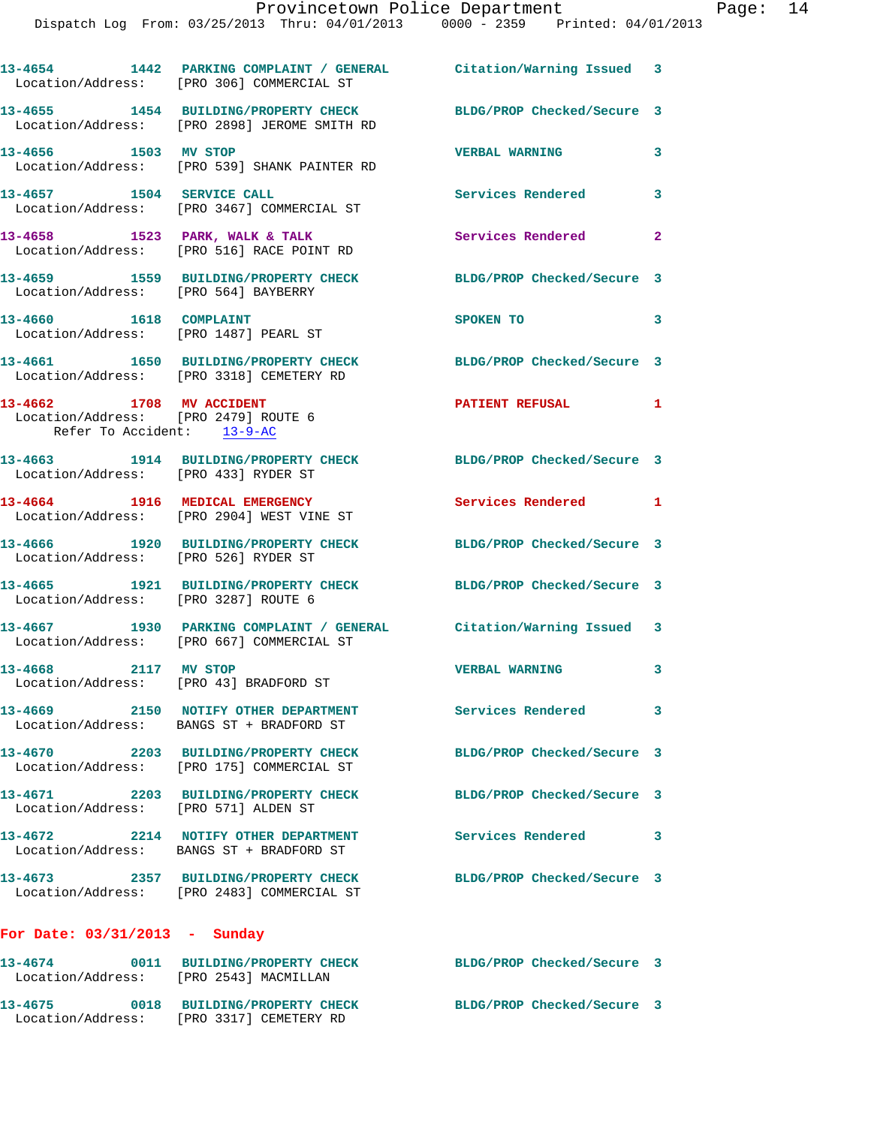|                                                                                                | 13-4654 1442 PARKING COMPLAINT / GENERAL Citation/Warning Issued 3<br>Location/Address: [PRO 306] COMMERCIAL ST |                            |              |
|------------------------------------------------------------------------------------------------|-----------------------------------------------------------------------------------------------------------------|----------------------------|--------------|
|                                                                                                | 13-4655 1454 BUILDING/PROPERTY CHECK<br>Location/Address: [PRO 2898] JEROME SMITH RD                            | BLDG/PROP Checked/Secure 3 |              |
| 13-4656 1503 MV STOP                                                                           | Location/Address: [PRO 539] SHANK PAINTER RD                                                                    | <b>VERBAL WARNING</b>      | 3            |
| 13-4657 1504 SERVICE CALL                                                                      | Location/Address: [PRO 3467] COMMERCIAL ST                                                                      | Services Rendered          | 3            |
|                                                                                                | 13-4658 1523 PARK, WALK & TALK<br>Location/Address: [PRO 516] RACE POINT RD                                     | Services Rendered          | $\mathbf{2}$ |
| Location/Address: [PRO 564] BAYBERRY                                                           | 13-4659 1559 BUILDING/PROPERTY CHECK                                                                            | BLDG/PROP Checked/Secure 3 |              |
| 13-4660 1618 COMPLAINT<br>Location/Address: [PRO 1487] PEARL ST                                |                                                                                                                 | SPOKEN TO                  | 3            |
|                                                                                                | 13-4661 1650 BUILDING/PROPERTY CHECK<br>Location/Address: [PRO 3318] CEMETERY RD                                | BLDG/PROP Checked/Secure 3 |              |
| 13-4662 1708 MV ACCIDENT<br>Location/Address: [PRO 2479] ROUTE 6<br>Refer To Accident: 13-9-AC |                                                                                                                 | PATIENT REFUSAL 1          |              |
| Location/Address: [PRO 433] RYDER ST                                                           | 13-4663 1914 BUILDING/PROPERTY CHECK                                                                            | BLDG/PROP Checked/Secure 3 |              |
|                                                                                                | 13-4664 1916 MEDICAL EMERGENCY<br>Location/Address: [PRO 2904] WEST VINE ST                                     | Services Rendered 1        |              |
| Location/Address: [PRO 526] RYDER ST                                                           | 13-4666 1920 BUILDING/PROPERTY CHECK                                                                            | BLDG/PROP Checked/Secure 3 |              |
| Location/Address: [PRO 3287] ROUTE 6                                                           | 13-4665 1921 BUILDING/PROPERTY CHECK                                                                            | BLDG/PROP Checked/Secure 3 |              |
|                                                                                                | 13-4667 1930 PARKING COMPLAINT / GENERAL Citation/Warning Issued 3<br>Location/Address: [PRO 667] COMMERCIAL ST |                            |              |
| 2117 MV STOP<br>13-4668                                                                        | Location/Address: [PRO 43] BRADFORD ST                                                                          | <b>VERBAL WARNING</b>      | 3            |
|                                                                                                | 13-4669 2150 NOTIFY OTHER DEPARTMENT<br>Location/Address: BANGS ST + BRADFORD ST                                | Services Rendered 3        |              |
|                                                                                                | 13-4670 2203 BUILDING/PROPERTY CHECK<br>Location/Address: [PRO 175] COMMERCIAL ST                               | BLDG/PROP Checked/Secure 3 |              |
| Location/Address: [PRO 571] ALDEN ST                                                           | 13-4671 2203 BUILDING/PROPERTY CHECK                                                                            | BLDG/PROP Checked/Secure 3 |              |
|                                                                                                | 13-4672 2214 NOTIFY OTHER DEPARTMENT<br>Location/Address: BANGS ST + BRADFORD ST                                | <b>Services Rendered</b>   | 3            |
|                                                                                                | 13-4673 2357 BUILDING/PROPERTY CHECK<br>Location/Address: [PRO 2483] COMMERCIAL ST                              | BLDG/PROP Checked/Secure 3 |              |
| For Date: $03/31/2013$ - Sunday                                                                |                                                                                                                 |                            |              |
| Location/Address: [PRO 2543] MACMILLAN                                                         | 13-4674 0011 BUILDING/PROPERTY CHECK                                                                            | BLDG/PROP Checked/Secure 3 |              |
|                                                                                                | 13-4675 0018 BUILDING/PROPERTY CHECK<br>Location/Address: [PRO 3317] CEMETERY RD                                | BLDG/PROP Checked/Secure 3 |              |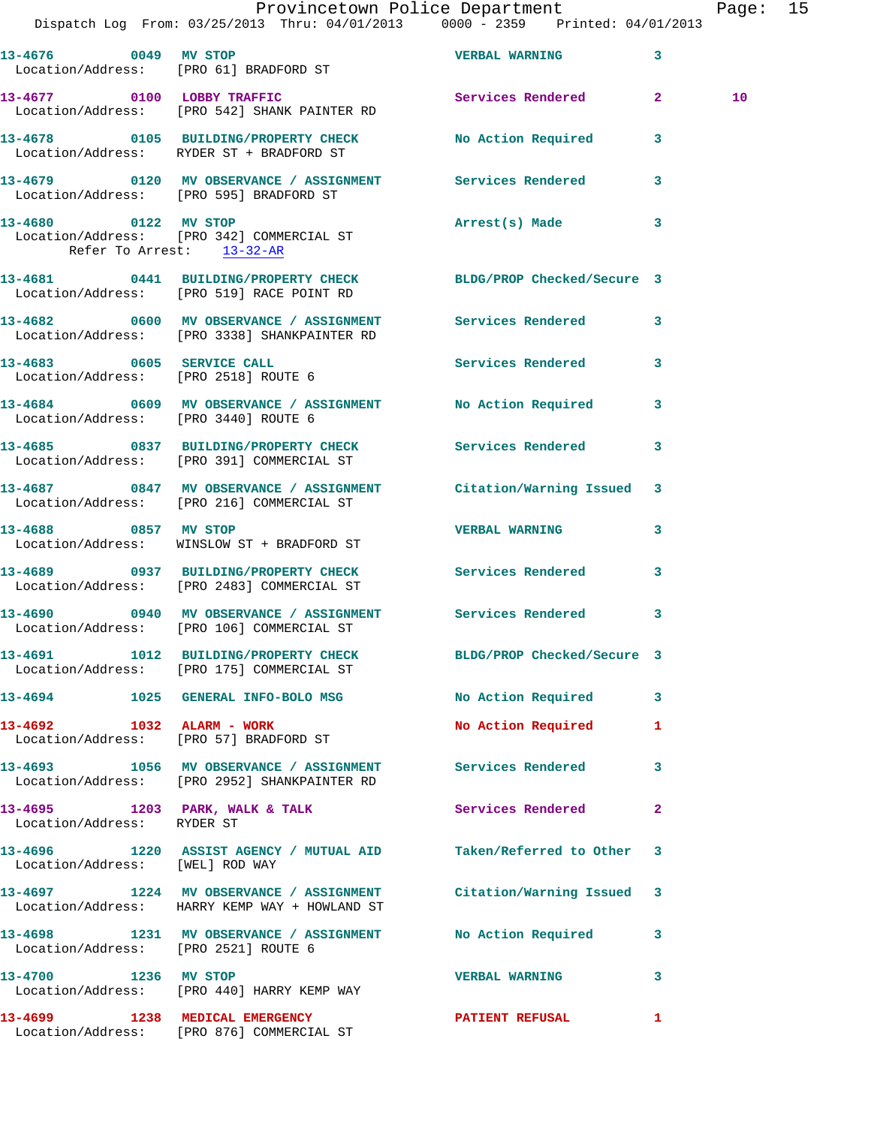|                                      | Dispatch Log From: 03/25/2013 Thru: 04/01/2013 0000 - 2359 Printed: 04/01/2013                                     | Provincetown Police Department |                         | Page: 15 |  |
|--------------------------------------|--------------------------------------------------------------------------------------------------------------------|--------------------------------|-------------------------|----------|--|
|                                      | 13-4676 0049 MV STOP<br>Location/Address: [PRO 61] BRADFORD ST                                                     | <b>VERBAL WARNING</b> 3        |                         |          |  |
|                                      | 13-4677 0100 LOBBY TRAFFIC Services Rendered 2<br>Location/Address: [PRO 542] SHANK PAINTER RD                     |                                |                         | 10       |  |
|                                      |                                                                                                                    |                                |                         |          |  |
|                                      | 13-4679 		 0120 MV OBSERVANCE / ASSIGNMENT Services Rendered<br>Location/Address: [PRO 595] BRADFORD ST            |                                | $\overline{\mathbf{3}}$ |          |  |
| Refer To Arrest: 13-32-AR            | 13-4680 0122 MV STOP<br>Location/Address: [PRO 342] COMMERCIAL ST                                                  | Arrest(s) Made                 | $\overline{\mathbf{3}}$ |          |  |
|                                      | 13-4681 0441 BUILDING/PROPERTY CHECK BLDG/PROP Checked/Secure 3<br>Location/Address: [PRO 519] RACE POINT RD       |                                |                         |          |  |
|                                      | 13-4682 0600 MV OBSERVANCE / ASSIGNMENT Services Rendered 3<br>Location/Address: [PRO 3338] SHANKPAINTER RD        |                                |                         |          |  |
| Location/Address: [PRO 2518] ROUTE 6 | 13-4683 0605 SERVICE CALL                                                                                          | Services Rendered 3            |                         |          |  |
| Location/Address: [PRO 3440] ROUTE 6 | 13-4684 0609 MV OBSERVANCE / ASSIGNMENT No Action Required 3                                                       |                                |                         |          |  |
|                                      | 13-4685 0837 BUILDING/PROPERTY CHECK Services Rendered 3<br>Location/Address: [PRO 391] COMMERCIAL ST              |                                |                         |          |  |
|                                      | 13-4687 0847 MV OBSERVANCE / ASSIGNMENT Citation/Warning Issued 3<br>Location/Address: [PRO 216] COMMERCIAL ST     |                                |                         |          |  |
|                                      | 13-4688 0857 MV STOP<br>Location/Address: WINSLOW ST + BRADFORD ST                                                 | <b>VERBAL WARNING</b>          | $\mathbf{3}$            |          |  |
|                                      | 13-4689 0937 BUILDING/PROPERTY CHECK Services Rendered<br>Location/Address: [PRO 2483] COMMERCIAL ST               |                                | $\mathbf{3}$            |          |  |
|                                      | 13-4690 0940 MV OBSERVANCE / ASSIGNMENT Services Rendered 3<br>Location/Address: [PRO 106] COMMERCIAL ST           |                                |                         |          |  |
|                                      | 13-4691 1012 BUILDING/PROPERTY CHECK BLDG/PROP Checked/Secure 3<br>Location/Address: [PRO 175] COMMERCIAL ST       |                                |                         |          |  |
|                                      | 13-4694 1025 GENERAL INFO-BOLO MSG                                                                                 | No Action Required 3           |                         |          |  |
| 13-4692 1032 ALARM - WORK            | Location/Address: [PRO 57] BRADFORD ST                                                                             | No Action Required             | 1                       |          |  |
|                                      | 13-4693 1056 MV OBSERVANCE / ASSIGNMENT Services Rendered<br>Location/Address: [PRO 2952] SHANKPAINTER RD          |                                | 3                       |          |  |
| Location/Address: RYDER ST           | 13-4695 1203 PARK, WALK & TALK 1988 Services Rendered                                                              |                                | $\mathbf{2}$            |          |  |
| Location/Address: [WEL] ROD WAY      | 13-4696 1220 ASSIST AGENCY / MUTUAL AID Taken/Referred to Other 3                                                  |                                |                         |          |  |
|                                      | 13-4697 1224 MV OBSERVANCE / ASSIGNMENT Citation/Warning Issued 3<br>Location/Address: HARRY KEMP WAY + HOWLAND ST |                                |                         |          |  |
| Location/Address: [PRO 2521] ROUTE 6 | 13-4698 1231 MV OBSERVANCE / ASSIGNMENT No Action Required                                                         |                                | 3                       |          |  |
| 13-4700 1236 MV STOP                 | Location/Address: [PRO 440] HARRY KEMP WAY                                                                         | <b>VERBAL WARNING</b>          | 3                       |          |  |
|                                      | 13-4699 1238 MEDICAL EMERGENCY<br>Location/Address: [PRO 876] COMMERCIAL ST                                        | PATIENT REFUSAL                | 1                       |          |  |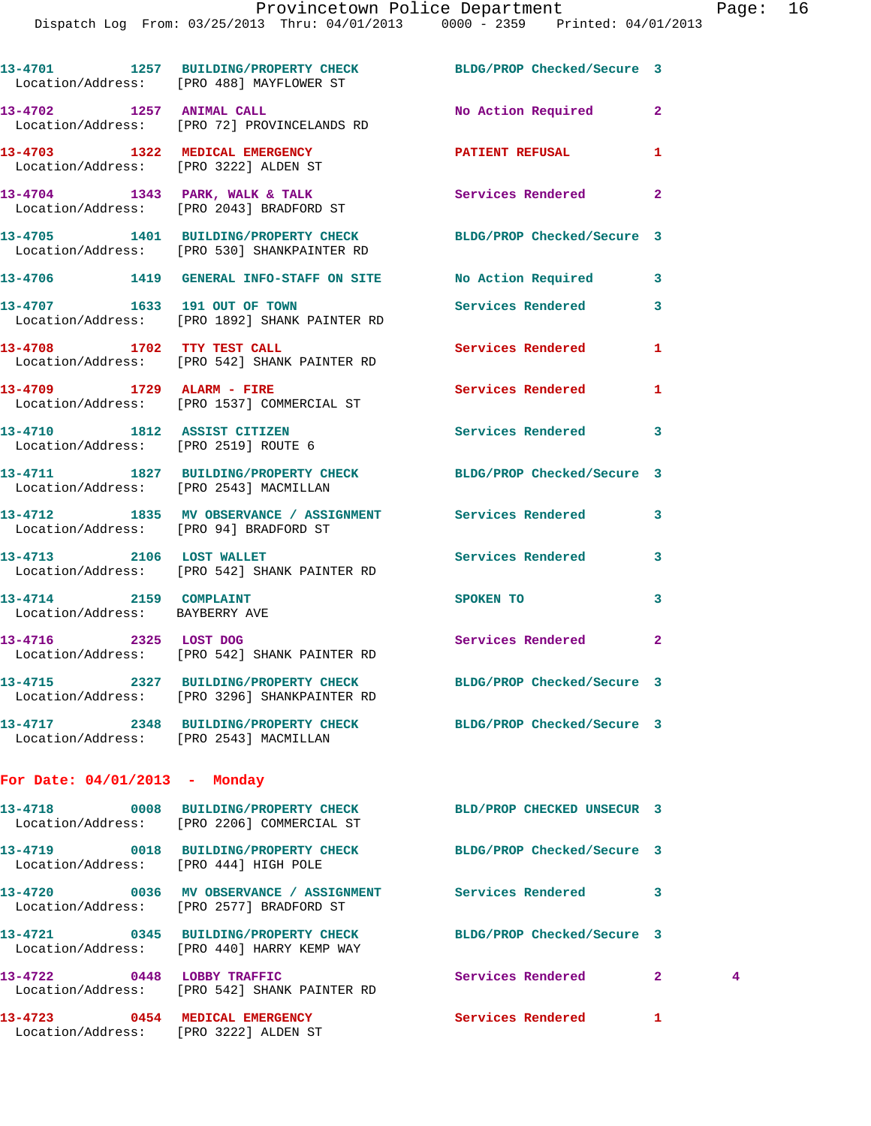|                                                                         | 13-4701 1257 BUILDING/PROPERTY CHECK BLDG/PROP Checked/Secure 3<br>Location/Address: [PRO 488] MAYFLOWER ST     |                            |                |   |
|-------------------------------------------------------------------------|-----------------------------------------------------------------------------------------------------------------|----------------------------|----------------|---|
|                                                                         | 13-4702 1257 ANIMAL CALL<br>Location/Address: [PRO 72] PROVINCELANDS RD                                         | No Action Required         | $\overline{a}$ |   |
| 13-4703 1322 MEDICAL EMERGENCY<br>Location/Address: [PRO 3222] ALDEN ST |                                                                                                                 | PATIENT REFUSAL            | 1              |   |
|                                                                         | 13-4704 1343 PARK, WALK & TALK<br>Location/Address: [PRO 2043] BRADFORD ST                                      | Services Rendered          | $\mathbf{2}$   |   |
|                                                                         | 13-4705 1401 BUILDING/PROPERTY CHECK<br>Location/Address: [PRO 530] SHANKPAINTER RD                             | BLDG/PROP Checked/Secure 3 |                |   |
|                                                                         | 13-4706 1419 GENERAL INFO-STAFF ON SITE No Action Required                                                      |                            | 3              |   |
|                                                                         | 13-4707 1633 191 OUT OF TOWN<br>Location/Address: [PRO 1892] SHANK PAINTER RD                                   | Services Rendered          | 3              |   |
| 13-4708 1702 TTY TEST CALL                                              | Location/Address: [PRO 542] SHANK PAINTER RD                                                                    | Services Rendered          | 1              |   |
|                                                                         | 13-4709 1729 ALARM - FIRE<br>Location/Address: [PRO 1537] COMMERCIAL ST                                         | Services Rendered          | 1              |   |
| 13-4710 1812 ASSIST CITIZEN<br>Location/Address: [PRO 2519] ROUTE 6     |                                                                                                                 | Services Rendered          | 3              |   |
| Location/Address: [PRO 2543] MACMILLAN                                  | 13-4711 1827 BUILDING/PROPERTY CHECK BLDG/PROP Checked/Secure 3                                                 |                            |                |   |
|                                                                         | 13-4712 1835 MV OBSERVANCE / ASSIGNMENT Services Rendered<br>Location/Address: [PRO 94] BRADFORD ST             |                            | 3              |   |
|                                                                         | 13-4713 2106 LOST WALLET<br>Location/Address: [PRO 542] SHANK PAINTER RD                                        | Services Rendered          | 3              |   |
| 13-4714 2159 COMPLAINT<br>Location/Address: BAYBERRY AVE                |                                                                                                                 | SPOKEN TO                  | 3              |   |
| 13-4716 2325 LOST DOG                                                   | Location/Address: [PRO 542] SHANK PAINTER RD                                                                    | Services Rendered          | $\mathbf{2}$   |   |
|                                                                         | 13-4715 2327 BUILDING/PROPERTY CHECK BLDG/PROP Checked/Secure 3<br>Location/Address: [PRO 3296] SHANKPAINTER RD |                            |                |   |
| Location/Address: [PRO 2543] MACMILLAN                                  | 13-4717 2348 BUILDING/PROPERTY CHECK                                                                            | BLDG/PROP Checked/Secure 3 |                |   |
| For Date: $04/01/2013$ - Monday                                         |                                                                                                                 |                            |                |   |
|                                                                         | 13-4718 0008 BUILDING/PROPERTY CHECK<br>Location/Address: [PRO 2206] COMMERCIAL ST                              | BLD/PROP CHECKED UNSECUR 3 |                |   |
| Location/Address: [PRO 444] HIGH POLE                                   | 13-4719 0018 BUILDING/PROPERTY CHECK                                                                            | BLDG/PROP Checked/Secure 3 |                |   |
|                                                                         | 13-4720 0036 MV OBSERVANCE / ASSIGNMENT Services Rendered<br>Location/Address: [PRO 2577] BRADFORD ST           |                            | 3              |   |
|                                                                         | 13-4721 0345 BUILDING/PROPERTY CHECK<br>Location/Address: [PRO 440] HARRY KEMP WAY                              | BLDG/PROP Checked/Secure 3 |                |   |
|                                                                         | 13-4722 0448 LOBBY TRAFFIC<br>Location/Address: [PRO 542] SHANK PAINTER RD                                      | Services Rendered          | $\mathbf{2}$   | 4 |
|                                                                         |                                                                                                                 |                            |                |   |

**13-4723 0454 MEDICAL EMERGENCY Services Rendered 1** 

Location/Address: [PRO 3222] ALDEN ST